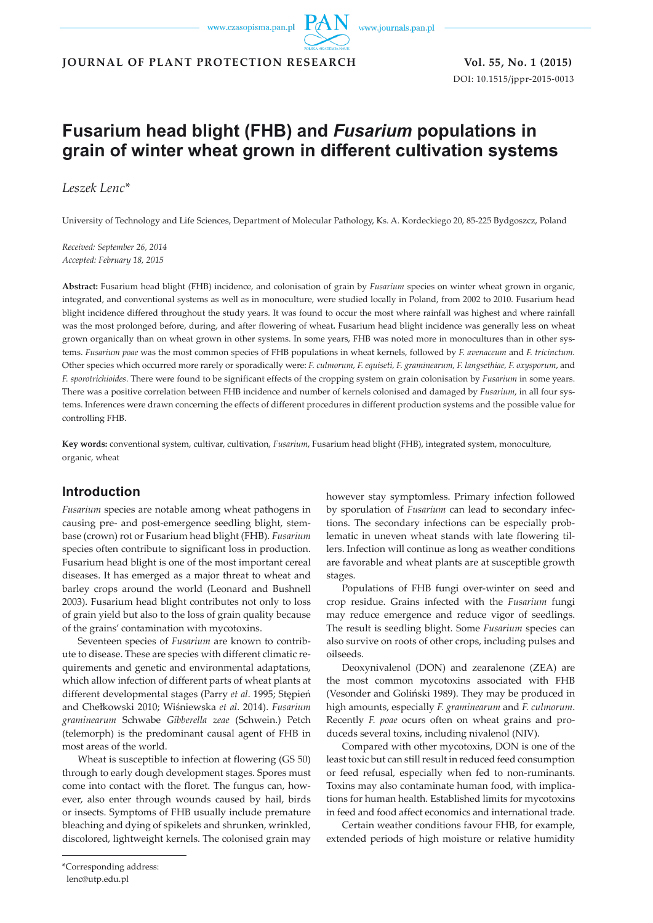

**JOURNAL OF PLANT PROTECTION RESEARCH Vol. 55, No. 1 (2015)**

DOI: 10.1515/jppr-2015-0013

# **Fusarium head blight (FHB) and** *Fusarium* **populations in grain of winter wheat grown in different cultivation systems**

*Leszek Lenc\**

University of Technology and Life Sciences, Department of Molecular Pathology, Ks. A. Kordeckiego 20, 85-225 Bydgoszcz, Poland

*Received: September 26, 2014 Accepted: February 18, 2015*

**Abstract:** Fusarium head blight (FHB) incidence, and colonisation of grain by *Fusarium* species on winter wheat grown in organic, integrated, and conventional systems as well as in monoculture, were studied locally in Poland, from 2002 to 2010. Fusarium head blight incidence differed throughout the study years. It was found to occur the most where rainfall was highest and where rainfall was the most prolonged before, during, and after flowering of wheat**.** Fusarium head blight incidence was generally less on wheat grown organically than on wheat grown in other systems. In some years, FHB was noted more in monocultures than in other systems. *Fusarium poae* was the most common species of FHB populations in wheat kernels, followed by *F. avenaceum* and *F. tricinctum.* Other species which occurred more rarely or sporadically were: *F. culmorum, F. equiseti, F. graminearum, F. langsethiae, F. oxysporum*, and *F. sporotrichioides*. There were found to be significant effects of the cropping system on grain colonisation by *Fusarium* in some years. There was a positive correlation between FHB incidence and number of kernels colonised and damaged by *Fusarium*, in all four systems. Inferences were drawn concerning the effects of different procedures in different production systems and the possible value for controlling FHB.

**Key words:** conventional system, cultivar, cultivation, *Fusarium*, Fusarium head blight (FHB), integrated system, monoculture, organic, wheat

# **Introduction**

*Fusarium* species are notable among wheat pathogens in causing pre- and post-emergence seedling blight, stembase (crown) rot or Fusarium head blight (FHB). *Fusarium* species often contribute to significant loss in production. Fusarium head blight is one of the most important cereal diseases. It has emerged as a major threat to wheat and barley crops around the world (Leonard and Bushnell 2003). Fusarium head blight contributes not only to loss of grain yield but also to the loss of grain quality because of the grains' contamination with mycotoxins.

Seventeen species of *Fusarium* are known to contribute to disease. These are species with different climatic requirements and genetic and environmental adaptations, which allow infection of different parts of wheat plants at different developmental stages (Parry *et al*. 1995; Stępień and Chełkowski 2010; Wiśniewska *et al*. 2014). *Fusarium graminearum* Schwabe *Gibberella zeae* (Schwein.) Petch (telemorph) is the predominant causal agent of FHB in most areas of the world.

Wheat is susceptible to infection at flowering (GS 50) through to early dough development stages. Spores must come into contact with the floret. The fungus can, however, also enter through wounds caused by hail, birds or insects. Symptoms of FHB usually include premature bleaching and dying of spikelets and shrunken, wrinkled, discolored, lightweight kernels. The colonised grain may

however stay symptomless. Primary infection followed by sporulation of *Fusarium* can lead to secondary infections. The secondary infections can be especially problematic in uneven wheat stands with late flowering tillers. Infection will continue as long as weather conditions are favorable and wheat plants are at susceptible growth stages.

Populations of FHB fungi over-winter on seed and crop residue. Grains infected with the *Fusarium* fungi may reduce emergence and reduce vigor of seedlings. The result is seedling blight. Some *Fusarium* species can also survive on roots of other crops, including pulses and oilseeds.

Deoxynivalenol (DON) and zearalenone (ZEA) are the most common mycotoxins associated with FHB (Vesonder and Goliński 1989). They may be produced in high amounts, especially *F. graminearum* and *F. culmorum*. Recently *F. poae* ocurs often on wheat grains and produceds several toxins, including nivalenol (NIV).

Compared with other mycotoxins, DON is one of the least toxic but can still result in reduced feed consumption or feed refusal, especially when fed to non-ruminants. Toxins may also contaminate human food, with implications for human health. Established limits for mycotoxins in feed and food affect economics and international trade.

Certain weather conditions favour FHB, for example, extended periods of high moisture or relative humidity

lenc@utp.edu.pl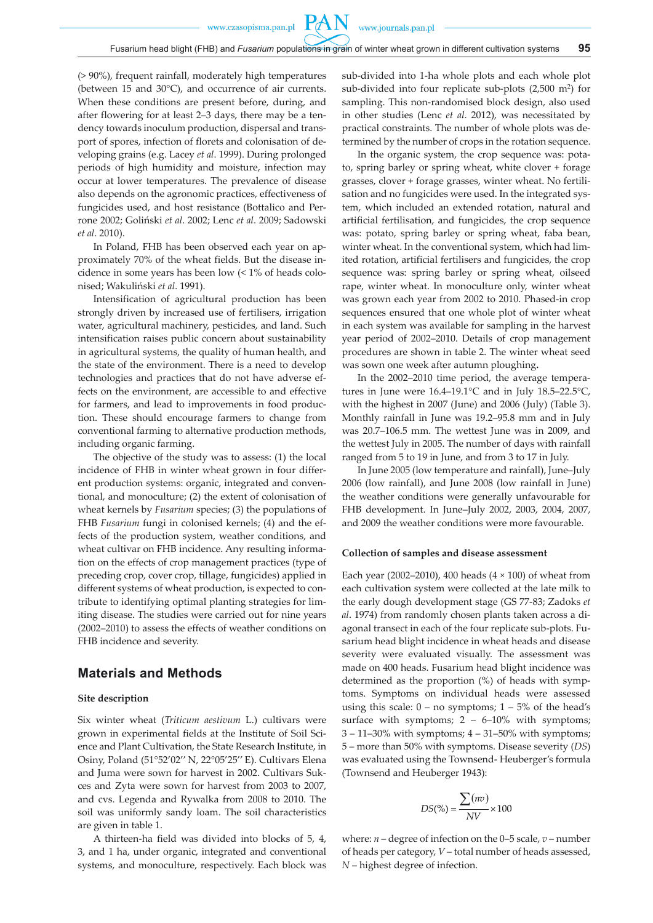**PAN** 

(> 90%), frequent rainfall, moderately high temperatures (between 15 and 30°C), and occurrence of air currents. When these conditions are present before, during, and after flowering for at least 2–3 days, there may be a tendency towards inoculum production, dispersal and transport of spores, infection of florets and colonisation of developing grains (e.g. Lacey *et al*. 1999). During prolonged periods of high humidity and moisture, infection may occur at lower temperatures. The prevalence of disease also depends on the agronomic practices, effectiveness of fungicides used, and host resistance (Bottalico and Perrone 2002; Goliński *et al*. 2002; Lenc *et al*. 2009; Sadowski *et al*. 2010).

In Poland, FHB has been observed each year on approximately 70% of the wheat fields. But the disease incidence in some years has been low (< 1% of heads colonised; Wakuliński *et al*. 1991).

Intensification of agricultural production has been strongly driven by increased use of fertilisers, irrigation water, agricultural machinery, pesticides, and land. Such intensification raises public concern about sustainability in agricultural systems, the quality of human health, and the state of the environment. There is a need to develop technologies and practices that do not have adverse effects on the environment, are accessible to and effective for farmers, and lead to improvements in food production. These should encourage farmers to change from conventional farming to alternative production methods, including organic farming.

The objective of the study was to assess: (1) the local incidence of FHB in winter wheat grown in four different production systems: organic, integrated and conventional, and monoculture; (2) the extent of colonisation of wheat kernels by *Fusarium* species; (3) the populations of FHB *Fusarium* fungi in colonised kernels; (4) and the effects of the production system, weather conditions, and wheat cultivar on FHB incidence. Any resulting information on the effects of crop management practices (type of preceding crop, cover crop, tillage, fungicides) applied in different systems of wheat production, is expected to contribute to identifying optimal planting strategies for limiting disease. The studies were carried out for nine years (2002–2010) to assess the effects of weather conditions on FHB incidence and severity.

# **Materials and Methods**

#### **Site description**

Six winter wheat (*Triticum aestivum* L.) cultivars were grown in experimental fields at the Institute of Soil Science and Plant Cultivation, the State Research Institute, in Osiny, Poland (51°52'02'' N, 22°05'25'' E). Cultivars Elena and Juma were sown for harvest in 2002. Cultivars Sukces and Zyta were sown for harvest from 2003 to 2007, and cvs. Legenda and Rywalka from 2008 to 2010. The soil was uniformly sandy loam. The soil characteristics are given in table 1.

A thirteen-ha field was divided into blocks of 5, 4, 3, and 1 ha, under organic, integrated and conventional systems, and monoculture, respectively. Each block was sub-divided into 1-ha whole plots and each whole plot sub-divided into four replicate sub-plots (2,500 m2) for sampling. This non-randomised block design, also used in other studies (Lenc *et al*. 2012), was necessitated by practical constraints. The number of whole plots was determined by the number of crops in the rotation sequence.

In the organic system, the crop sequence was: potato, spring barley or spring wheat, white clover + forage grasses, clover + forage grasses, winter wheat. No fertilisation and no fungicides were used. In the integrated system, which included an extended rotation, natural and artificial fertilisation, and fungicides, the crop sequence was: potato, spring barley or spring wheat, faba bean, winter wheat. In the conventional system, which had limited rotation, artificial fertilisers and fungicides, the crop sequence was: spring barley or spring wheat, oilseed rape, winter wheat. In monoculture only, winter wheat was grown each year from 2002 to 2010. Phased-in crop sequences ensured that one whole plot of winter wheat in each system was available for sampling in the harvest year period of 2002–2010. Details of crop management procedures are shown in table 2. The winter wheat seed was sown one week after autumn ploughing**.**

In the 2002–2010 time period, the average temperatures in June were 16.4–19.1°C and in July 18.5–22.5°C, with the highest in 2007 (June) and 2006 (July) (Table 3). Monthly rainfall in June was 19.2–95.8 mm and in July was 20.7–106.5 mm. The wettest June was in 2009, and the wettest July in 2005. The number of days with rainfall ranged from 5 to 19 in June, and from 3 to 17 in July.

In June 2005 (low temperature and rainfall), June–July 2006 (low rainfall), and June 2008 (low rainfall in June) the weather conditions were generally unfavourable for FHB development. In June–July 2002, 2003, 2004, 2007, and 2009 the weather conditions were more favourable.

#### **Collection of samples and disease assessment**

Each year (2002–2010), 400 heads (4  $\times$  100) of wheat from each cultivation system were collected at the late milk to the early dough development stage (GS 77-83; Zadoks *et al*. 1974) from randomly chosen plants taken across a diagonal transect in each of the four replicate sub-plots. Fusarium head blight incidence in wheat heads and disease severity were evaluated visually. The assessment was made on 400 heads. Fusarium head blight incidence was determined as the proportion (%) of heads with symptoms. Symptoms on individual heads were assessed using this scale:  $0 - no$  symptoms;  $1 - 5\%$  of the head's surface with symptoms;  $2 - 6 - 10\%$  with symptoms; 3 – 11–30% with symptoms; 4 – 31–50% with symptoms; 5 – more than 50% with symptoms. Disease severity (*DS*) was evaluated using the Townsend- Heuberger's formula (Townsend and Heuberger 1943):

$$
DS(\%) = \frac{\sum (nv)}{NV} \times 100
$$

where:  $n -$  degree of infection on the 0–5 scale,  $v -$  number of heads per category, *V* – total number of heads assessed, *N* – highest degree of infection.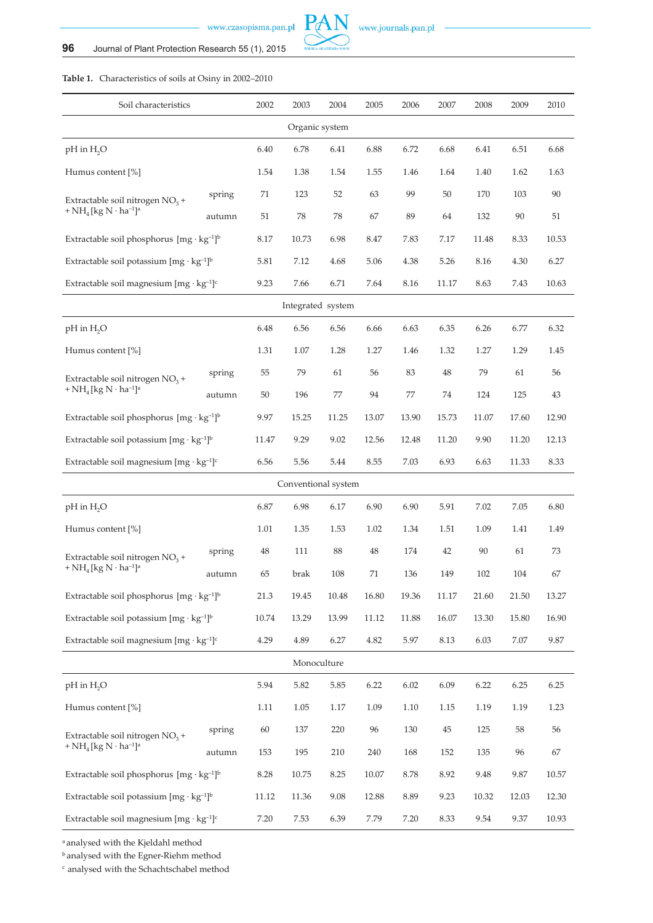

# **Table 1.** Characteristics of soils at Osiny in 2002–2010

| Soil characteristics                                                                        |        | 2002                | 2003           | 2004  | 2005  | 2006  | 2007  | 2008  | 2009  | 2010  |
|---------------------------------------------------------------------------------------------|--------|---------------------|----------------|-------|-------|-------|-------|-------|-------|-------|
|                                                                                             |        |                     | Organic system |       |       |       |       |       |       |       |
| pH in H <sub>2</sub> O                                                                      |        | 6.40                | 6.78           | 6.41  | 6.88  | 6.72  | 6.68  | 6.41  | 6.51  | 6.68  |
| Humus content [%]                                                                           |        | 1.54                | 1.38           | 1.54  | 1.55  | 1.46  | 1.64  | 1.40  | 1.62  | 1.63  |
| Extractable soil nitrogen $NO3$ +                                                           | spring | 71                  | 123            | 52    | 63    | 99    | 50    | 170   | 103   | 90    |
| + $NH_4$ [kg N $\cdot$ ha <sup>-1</sup> ] <sup>a</sup>                                      | autumn |                     |                | 78    | 67    | 89    | 64    | 132   | 90    | 51    |
| Extractable soil phosphorus $[mg \cdot kg^{-1}]^b$                                          |        | 8.17                | 10.73          | 6.98  | 8.47  | 7.83  | 7.17  | 11.48 | 8.33  | 10.53 |
| Extractable soil potassium $[mg \cdot kg^{-1}]^b$                                           | 5.81   | 7.12                | 4.68           | 5.06  | 4.38  | 5.26  | 8.16  | 4.30  | 6.27  |       |
| Extractable soil magnesium $[mg \cdot kg^{-1}]^c$                                           |        | 9.23                | 7.66           | 6.71  | 7.64  | 8.16  | 11.17 | 8.63  | 7.43  | 10.63 |
| Integrated system                                                                           |        |                     |                |       |       |       |       |       |       |       |
| $pH$ in $H_2O$                                                                              |        | 6.48                | 6.56           | 6.56  | 6.66  | 6.63  | 6.35  | 6.26  | 6.77  | 6.32  |
| Humus content [%]                                                                           | 1.31   | 1.07                | 1.28           | 1.27  | 1.46  | 1.32  | 1.27  | 1.29  | 1.45  |       |
| spring<br>Extractable soil nitrogen $NO3$ +                                                 |        | 55                  | 79             | 61    | 56    | 83    | 48    | 79    | 61    | 56    |
| + NH <sub>4</sub> [kg N $\cdot$ ha <sup>-1</sup> ] <sup>a</sup>                             | autumn | 50                  | 196            | 77    | 94    | 77    | 74    | 124   | 125   | 43    |
| Extractable soil phosphorus $[mg \cdot kg^{-1}]^b$                                          |        | 9.97                | 15.25          | 11.25 | 13.07 | 13.90 | 15.73 | 11.07 | 17.60 | 12.90 |
| Extractable soil potassium $[mg \cdot kg^{-1}]^b$                                           | 11.47  | 9.29                | 9.02           | 12.56 | 12.48 | 11.20 | 9.90  | 11.20 | 12.13 |       |
| Extractable soil magnesium $[mg \cdot kg^{-1}]^c$                                           | 6.56   | 5.56                | 5.44           | 8.55  | 7.03  | 6.93  | 6.63  | 11.33 | 8.33  |       |
|                                                                                             |        | Conventional system |                |       |       |       |       |       |       |       |
| pH in H <sub>2</sub> O                                                                      |        | 6.87                | 6.98           | 6.17  | 6.90  | 6.90  | 5.91  | 7.02  | 7.05  | 6.80  |
| Humus content [%]                                                                           |        | 1.01                | 1.35           | 1.53  | 1.02  | 1.34  | 1.51  | 1.09  | 1.41  | 1.49  |
| Extractable soil nitrogen $NO3$ +<br>+ $NH_4$ [kg N $\cdot$ ha <sup>-1</sup> ] <sup>a</sup> | spring | 48                  | 111            | 88    | 48    | 174   | 42    | 90    | 61    | 73    |
|                                                                                             | autumn | 65                  | brak           | 108   | 71    | 136   | 149   | 102   | 104   | 67    |
| Extractable soil phosphorus $[mg \cdot kg^{-1}]^b$                                          |        | 21.3                | 19.45          | 10.48 | 16.80 | 19.36 | 11.17 | 21.60 | 21.50 | 13.27 |
| Extractable soil potassium $[mg \cdot kg^{-1}]^b$                                           |        | 10.74               | 13.29          | 13.99 | 11.12 | 11.88 | 16.07 | 13.30 | 15.80 | 16.90 |
| Extractable soil magnesium $[mg \cdot kg^{-1}]^c$                                           |        | 4.29                | 4.89           | 6.27  | 4.82  | 5.97  | 8.13  | 6.03  | 7.07  | 9.87  |
|                                                                                             |        |                     | Monoculture    |       |       |       |       |       |       |       |
| pH in H <sub>2</sub> O                                                                      |        | 5.94                | 5.82           | 5.85  | 6.22  | 6.02  | 6.09  | 6.22  | 6.25  | 6.25  |
| Humus content [%]                                                                           |        | 1.11                | 1.05           | 1.17  | 1.09  | 1.10  | 1.15  | 1.19  | 1.19  | 1.23  |
| Extractable soil nitrogen $NO3$ +                                                           | spring | 60                  | 137            | 220   | 96    | 130   | 45    | 125   | 58    | 56    |
| + $NH_4$ [kg N $\cdot$ ha <sup>-1</sup> ] <sup>a</sup>                                      | autumn | 153                 | 195            | 210   | 240   | 168   | 152   | 135   | 96    | 67    |
| Extractable soil phosphorus $[mg \cdot kg^{-1}]^b$                                          |        | 8.28                | 10.75          | 8.25  | 10.07 | 8.78  | 8.92  | 9.48  | 9.87  | 10.57 |
| Extractable soil potassium $[mg \cdot kg^{-1}]^b$                                           |        | 11.12               | 11.36          | 9.08  | 12.88 | 8.89  | 9.23  | 10.32 | 12.03 | 12.30 |
| Extractable soil magnesium $[mg \cdot kg^{-1}]^c$                                           |        | 7.20                | 7.53           | 6.39  | 7.79  | 7.20  | 8.33  | 9.54  | 9.37  | 10.93 |

a analysed with the Kjeldahl method

b analysed with the Egner-Riehm method

c analysed with the Schachtschabel method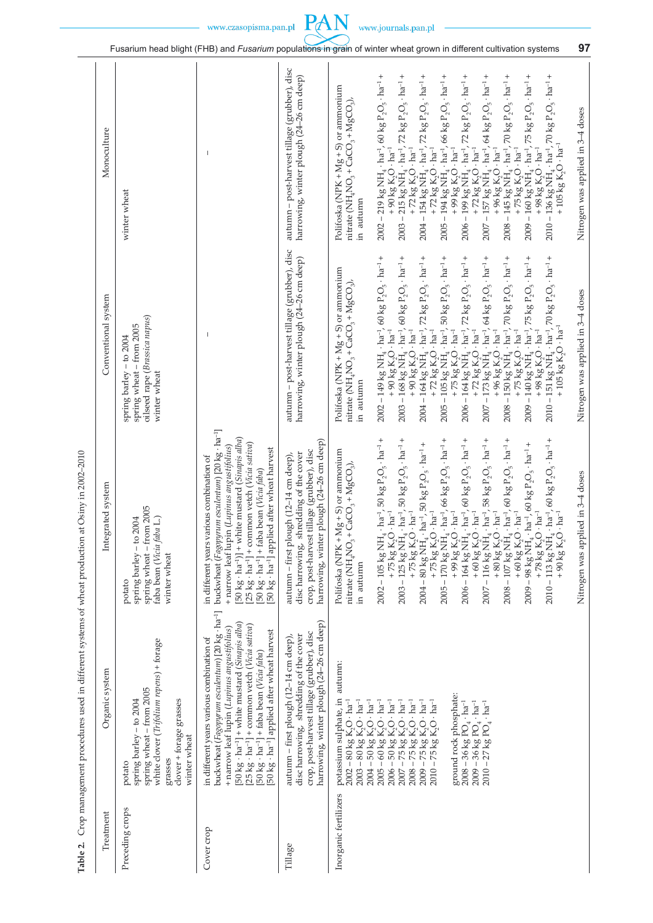|                     |                                                                                                                                                                  |                                                                                                                                                                                                                                                                                                                                                                                                                          |                                                                                                                                                                            | Fusarium head blight (FHB) and Fusarium populations in grain of winter wheat grown in different cultivation systems                                                                                                                                                                                                                                                                                                                                                                                                                                                                                                                                                                                                                                                                                                                                                                                                                                                                                                                                                                                                                                                                                                     |                                                                                                                                                                                                                                                                                                        | 97                                |
|---------------------|------------------------------------------------------------------------------------------------------------------------------------------------------------------|--------------------------------------------------------------------------------------------------------------------------------------------------------------------------------------------------------------------------------------------------------------------------------------------------------------------------------------------------------------------------------------------------------------------------|----------------------------------------------------------------------------------------------------------------------------------------------------------------------------|-------------------------------------------------------------------------------------------------------------------------------------------------------------------------------------------------------------------------------------------------------------------------------------------------------------------------------------------------------------------------------------------------------------------------------------------------------------------------------------------------------------------------------------------------------------------------------------------------------------------------------------------------------------------------------------------------------------------------------------------------------------------------------------------------------------------------------------------------------------------------------------------------------------------------------------------------------------------------------------------------------------------------------------------------------------------------------------------------------------------------------------------------------------------------------------------------------------------------|--------------------------------------------------------------------------------------------------------------------------------------------------------------------------------------------------------------------------------------------------------------------------------------------------------|-----------------------------------|
| Monoculture         | winter wheat                                                                                                                                                     |                                                                                                                                                                                                                                                                                                                                                                                                                          | autumn - post-harvest tillage (grubber), disc<br>harrowing, winter plough (24–26 cm deep)                                                                                  | $2002 - 219$ kg NH <sub>4</sub> $\cdot$ ha <sup>-1</sup> , 60 kg P <sub>2</sub> O <sub>5</sub> $\cdot$ ha <sup>-1</sup> +<br>72 $kg P_2O_5 \cdot ha^{-1}$ +<br>$2004 - 154$ kg NH <sub>4</sub> $\cdot$ ha <sup>-1</sup> , 72 kg P <sub>2</sub> O <sub>5</sub> $\cdot$ ha <sup>-1</sup> +<br>66 $kg P_2O_5 \cdot ha^{-1}$ +<br>$72 \text{ kg } P_2O_5 \cdot \text{ha}^{-1} +$<br>64 $kg P_2O_5 \cdot ha^{-1}$ +<br>70 kg $P_2O_5 \cdot ha^{-1}$ +<br>Polifoska (NPK + Mg + S) or ammonium<br>$\mathrm{nitrate}$ (NH <sub>4</sub> NO <sub>3</sub> + CaCO <sub>3</sub> + MgCO <sub>3</sub> ),<br>$2003 - 215$ kg NH <sub>4</sub> $\cdot$ ha <sup>-1</sup> ,<br>$2005 - 194$ kg NH <sub>4</sub> $\cdot$ ha <sup>-1</sup> ,<br>$2006 - 199$ kg NH <sub>4</sub> $\cdot$ ha <sup>-1</sup> ,<br>$2007 - 157$ kg NH <sub>4</sub> $\cdot$ ha <sup>-1</sup> ,<br>$2008 - 145$ kg NH <sub>4</sub> $\cdot$ ha <sup>-1</sup> ,<br>+90 kg $K_2O \cdot ha^{-1}$<br>+99 $kg K2O \cdot ha^{-1}$<br>+96 kg $K_2O \cdot ha^{-1}$<br>+75 kg $K_2O \cdot ha^{-1}$<br>+72 kg $K_2O \cdot ha^{-1}$<br>+72 kg $K_2O \cdot ha^{-1}$<br>+72 kg $K_2O \cdot ha^{-1}$<br>in autumn                                                                   | $2010 - 136$ kg NH <sub>4</sub> $\cdot$ ha <sup>-1</sup> , 70 kg P <sub>2</sub> O <sub>5</sub> $\cdot$ ha <sup>-1</sup> +<br>75 $kgP_2O_5 \cdot ha^{-1}$ +<br>+105 $kg K2O \cdot ha^{-1}$<br>$2009 - 160~\text{kg NH}_4 \cdot \text{ha}^{-1}$ ,<br>+98 kg $K_2O \cdot ha^{-1}$                         | Nitrogen was applied in 3-4 doses |
| Conventional system | oilseed rape (Brassica napus)<br>spring wheat - from 2005<br>spring barley - to 2004<br>winter wheat                                                             |                                                                                                                                                                                                                                                                                                                                                                                                                          | autumn – post-harvest tillage (grubber), disc<br>harrowing, winter plough (24–26 cm deep)                                                                                  | $2002 - 149$ kg NH <sub>4</sub> · ha <sup>-1</sup> , 60 kg P <sub>2</sub> O <sub>5</sub> · ha <sup>-1</sup> +<br>$72 \text{ kg } P_2O_5 \cdot \text{h}a^{-1} +$<br>50 $kg P_2O_5 \cdot ha^{-1}$ +<br>64 $kg P_2O_5 \cdot ha^{-1}$ +<br>$2003 - 168$ kg NH $_4$ $\cdot$ ha <sup>-1</sup> , 60 kg P <sub>2</sub> O <sub>5</sub> $\cdot$ ha <sup>-1</sup> +<br>72 $kg P_2O_5 \cdot ha^{-1}$ +<br>70 $kg P_2O_5 \cdot ha^{-1}$ +<br>Polifoska (NPK + Mg + S) or ammonium<br>$n$ itrate (NH <sub>4</sub> NO <sub>3</sub> + CaCO <sub>3</sub> + MgCO <sub>3</sub> ),<br>$2004 - 164$ kg NH <sub>4</sub> $\cdot$ ha <sup>-1</sup> ,<br>$2006 - 164$ kg NH <sub>4</sub> $\cdot$ ha <sup>-1</sup> ,<br>$2008 - 150~\text{kg NH}_4 \cdot \text{ha}^{-1}$ ,<br>$2005$ – $105~\mathrm{kg}~\mathrm{NH}_4\cdot\mathrm{ha}^{-1}$<br>$2007 - 173$ kg NH <sub>4</sub> $\cdot$ ha <sup>-1</sup> ,<br>+ 90 kg $K_2O \cdot ha^{-1}$<br>+90 $kg K2O \cdot ha^{-1}$<br>+ 75 $kg K_2O \cdot ha^{-1}$<br>+72 $kg K2O \cdot ha^{-1}$<br>+72 $kg K2O \cdot ha^{-1}$<br>+ 96 $kg K2O \cdot ha^{-1}$<br>+ 75 $kg K2O \cdot ha^{-1}$<br>in autumn                                                                                                    | 2010 – 151 kg NH <sub>4</sub> · ha <sup>-1</sup> , 70 kg P <sub>2</sub> O <sub>5</sub> · ha <sup>-1</sup> +<br>75 $kgP_2O_5 \cdot ha^{-1}$ +<br>+ 105 $kg K2O \cdot ha^{-1}$<br>$2009 - 140$ kg NH <sub>4</sub> $\cdot$ ha <sup>-1</sup> ,<br>+98 $kg K2O \cdot ha^{-1}$                               | Nitrogen was applied in 3-4 doses |
| Integrated system   | spring wheat - from 2005<br>$\Box$<br>spring barley - to 2004<br>faba bean (Vicia faba<br>winter wheat<br>potato                                                 | buckwheat (Fagopyrum esculentum) [20 kg · ha <sup>-1</sup> ]<br>[50 kg · ha <sup>-1</sup> )] + white mustard (Sinapis alba)<br>[25 kg · ha <sup>-1</sup> ] + common vetch ( <i>Vicia sativa</i> )<br>+ narrow leaf lupin (Lupinus angustifolius)<br>50 kg · ha <sup>-1</sup> ] applied after wheat harvest<br>in different years various combination of<br>[50 kg · ha <sup>-1</sup> ] + faba bean ( <i>Vicia faba</i> ) | harrowing, winter plough (24–26 cm deep)<br>crop, post-harvest tillage (grubber), disc<br>disc harrowing, shredding of the cover<br>autumn – first plough (12–14 cm deep), | $ha^{-1}$ , 50 $kg P_2O_5 \cdot ha^{-1} +$<br>2003 – 125 kg NH <sub>4</sub> · ha <sup>-1</sup> , 50 kg P <sub>2</sub> O <sub>5</sub> · ha <sup>-1</sup> +<br>+ 75 kg K <sub>2</sub> O · ha <sup>-1</sup><br>$2005 - 170$ kg $NH_4 \cdot$ ha <sup>-1</sup> , 66 kg $P_2O_5 \cdot$ ha <sup>-1</sup> +<br>$I_4 \cdot$ ha <sup>-1</sup> , 60 kg P <sub>2</sub> O <sub>5</sub> $\cdot$ ha <sup>-1</sup> +<br>$2007 - 116$ kg NH <sub>4</sub> $\cdot$ ha <sup>-1</sup> , 58 kg P <sub>2</sub> O <sub>5</sub> $\cdot$ ha <sup>-1</sup> +<br>$\begin{array}{l} {\rm 1U/\;kg\;NH_4\cdot ha^{-1}\!\! \, , \; 60\;kg\;P_2O_5\cdot ha^{-1}\!\! \, +\atop \, +\; 60\;kg\;K_2O\cdot ha^{-1} } \end{array}$<br>$2004 - 80$ kg NH <sub>4</sub> $\cdot$ ha <sup>-1</sup> , 50 kg P <sub>2</sub> O <sub>5</sub> $\cdot$ ha <sup>-1</sup> +<br>Polifoska (NPK + $Mg$ + S) or ammonium<br>$\text{nitrate}(\text{NH}_4\text{NO}_3 + \text{CaCO}_3 + \text{MgCO}_3),$<br>+99 $kg K2O \cdot ha^{-1}$<br>+75 $kg K2O · ha-1$<br>+75 $kg K2O · ha-1$<br>+ 60 kg $K_2O \cdot ha^{-1}$<br>$+80 \text{ kg K}_2\dot{\text{O}} \cdot \text{ha}^{-1}$<br>$2008 - 107$ kg NH $_4$ .<br>$2002-105$ kg NH <sub>4</sub><br>$2006 - 164$ kg NH<br>in autumn | $\cdot$ ha <sup>-1</sup> , 60 kg P <sub>2</sub> O <sub>5</sub> $\cdot$ ha <sup>-1</sup> +<br>$2009 - 98$ kg NH $_4$ · ha <sup>-1</sup> , 60 kg P <sub>2</sub> O <sub>5</sub> · ha <sup>-1</sup> +<br>+78 $kg K2O · ha-1$<br>$\rm{ha}^{-1}$<br>$2010 - 113~\text{kg NH}_4\\ + 90~\text{kg K}_2\text{O}$ | Nitrogen was applied in 3-4 doses |
| Organic system      | white clover (Trifolium repens) + forage<br>spring wheat - from 2005<br>spring barley $-$ to 2004<br>dover + forage grasses<br>winter wheat<br>grasses<br>potato | buckwheat (Fagopyrum esculentum) [20 kg · ha <sup>-1</sup> ]<br>[50 kg · ha <sup>-1</sup> ] + white mustard (Sinapis alba)<br>[25 kg · ha <sup>-1</sup> ] + common vetch ( <i>Vicia sativa</i> )<br>+ narrow leaf lupin (Lupinus angustifolius)<br>50 kg · ha <sup>-1</sup> ] applied after wheat harvest<br>in different years various combination of<br>[50 kg · ha <sup>-1</sup> ] + faba bean ( <i>Vicia faba</i> )  | harrowing, winter plough (24–26 cm deep)<br>crop, post-harvest tillage (grubber), disc<br>disc harrowing, shredding of the cover<br>autumn – first plough (12–14 cm deep), | autunn:<br>ground rock phosphate:<br>potassium sulphate, in<br>$2003 - 80 \text{ kg K}_2\text{O} \cdot \text{ha}^{-1}$<br>$2004 - 50 \text{ kg K}_2\text{O} \cdot \text{ha}^{-1}$<br>$2005 - 60 \text{ kg K}_2\text{O} \cdot \text{ha}^{-1}$<br>50 $kg K2O \cdot ha^{-1}$<br>$75 \text{ kg K}_2^{\bullet}$ O · ha <sup>-1</sup><br>$75 \text{ kg K}_2^0\text{O} \cdot \text{ha}^{-1}$<br>75 $kg K2O \cdot ha^{-1}$<br>$2002 - 80 \text{ kg K}_2\text{O} \cdot \text{ha}^{-1}$<br>$2010 - 75 \text{ kg K}_2\text{O} \cdot \text{ha}^{-1}$<br>$2009 - 36$ kg PO <sub>4</sub> $\cdot$ ha <sup>-1</sup><br>$2008 - 36$ kg PO <sub>4</sub> $\cdot$ ha <sup>-1</sup><br>$2010 - 27$ kg PO <sub>4</sub> $\cdot$ ha <sup>-1</sup><br>$2006 -$<br>$2008 - 7$<br>$2009 - 7$<br>$2007 -$                                                                                                                                                                                                                                                                                                                                                                                                                                           |                                                                                                                                                                                                                                                                                                        |                                   |
| Treatment           | Preceding crops                                                                                                                                                  | Cover crop                                                                                                                                                                                                                                                                                                                                                                                                               | Tillage                                                                                                                                                                    | Inorganic fertilizers                                                                                                                                                                                                                                                                                                                                                                                                                                                                                                                                                                                                                                                                                                                                                                                                                                                                                                                                                                                                                                                                                                                                                                                                   |                                                                                                                                                                                                                                                                                                        |                                   |

Table 2. Crop management procedures used in different systems of wheat production at Osiny in 2002-2010 **Table 2.** Crop management procedures used in different systems of wheat production at Osiny in 2002–2010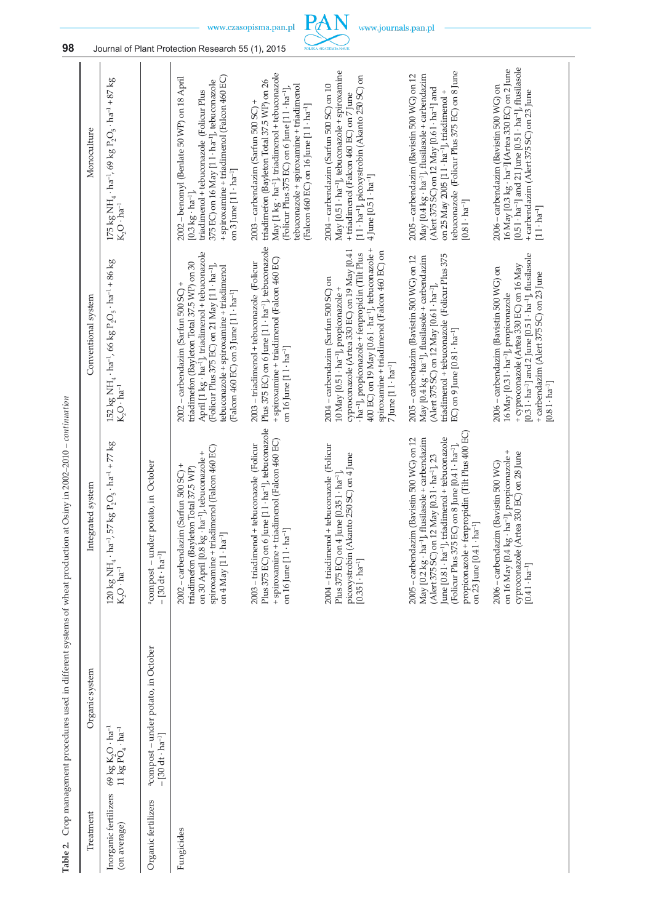| Conventional system<br>Crop management procedures used in different systems of wheat production at Osiny in 2002-2010 - continuation                                                                                                                                                                                                                                                                                                                                                                                                                                                  |
|---------------------------------------------------------------------------------------------------------------------------------------------------------------------------------------------------------------------------------------------------------------------------------------------------------------------------------------------------------------------------------------------------------------------------------------------------------------------------------------------------------------------------------------------------------------------------------------|
| $152~\text{kg}$ NH $_4$ $\cdot$ ha $^{-1}$ , 66 kg P <sub>2</sub> O <sub>5</sub> $\cdot$ ha $^{-1}$ + 86 kg<br>$K_2O \cdot ha^{-1}$<br>57 $kg P_2O_5 \cdot ha^{-1} + 77 kg$                                                                                                                                                                                                                                                                                                                                                                                                           |
| potato, in October                                                                                                                                                                                                                                                                                                                                                                                                                                                                                                                                                                    |
| April [1 kg · ha <sup>-1</sup> ], triadimenol + tebuconazole<br>triadimeton (Bayleton Total 37.5 WP) on 30<br>(Folicur Plus 375 EC) on 21 May [11 · ha <sup>-1</sup> ],<br>tebuconazole + spiroxamine + triadimenol<br>2002 – carbendazim (Sarfun 500 SC) +<br>(Falcon 460 EC) on 3 June [1 l · ha <sup>-1</sup> ]<br>spiroxamine + triadimenol (Falcon 460 EC)<br>$\cdot$ ha <sup>-1</sup> ], tebuconazole +<br>2002 - carbendazim (Sarfun 500 SC) +<br>triadimefon (Bayleton Total 37.5 WP)                                                                                         |
| Plus 375 EC) on 6 June [1 l · ha <sup>-1</sup> ], tebuconazole<br>+ spiroxamine + triadimenol (Falcon 460 EC)<br>2003 - triadimenol + tebuconazole (Folicur<br>on 16 June $[11 \cdot ha^{-1}]$<br>Plus 375 EC) on 6 June [1 l · ha <sup>-1</sup> ], tebuconazole<br>+ spiroxamine + triadimenol (Falcon 460 EC)<br>+ tebuconazole (Folicur                                                                                                                                                                                                                                            |
| $400$ EC) on 19 May [0.61 $\cdot$ ha <sup>-1</sup> ], tebuconazole +<br>cyproconazole (Artea 330 EC) on 19 May [0.41<br>spiroxamine + triadimenol (Falcon 460 EC) on<br>ha <sup>-1</sup> ], propiconazole + fenpropidin (Tilt Plus<br>2004 - carbendazim (Sarfun 500 SC) on<br>10 May [0.5 1 · ha <sup>-1</sup> ], propiconazole +<br>$7$ June $[11 \cdot ha^{-1}]$<br>+ tebuconazole (Folicur<br>picoxystrobin (Akanto 250 SC) on 4 June<br>$une [0.351 \cdot ha^{-1}]$                                                                                                              |
| triadimenol + tebuconazole (Folicur Plus 375<br>2005 – carbendazim (Bavistin 500 WG) on 12<br>May [0.4 kg · ha <sup>-1</sup> ], flusilasole + carbendazim<br>(Alert 375 SC) on 12 May [0.61 · ha <sup>-1</sup> ],<br>EC) on 9 June [0.8 1 · ha <sup>-1</sup> ]<br>propiconazole + fenpropidin (Tilt Plus 400 EC)<br>flusilasole + carbendazim<br>June [0.81 · ha <sup>-1</sup> ], triadimenol + tebuconazole<br>2005 - carbendazim (Bavistin 500 WG) on 12<br>(Folicur Plus 375 EC) on 8 June [0.41 · ha <sup>-1</sup> ],<br>(Alert 375 SC) on 12 May [0.3 1 · ha <sup>-1</sup> ], 23 |
| $[0.31 \cdot \text{ha}^{-1}]$ and 2 June $[0.51 \cdot \text{ha}^{-1}]$ , flusilasole<br>+ cyproconazole (Artea 330 EC) on 16 May<br>2006 - carbendazim (Bavistin 500 WG) on<br>+ carbendazim (Alert 375 SC) on 23 June<br>16 May [0.31 · ha <sup>-1</sup> ], propiconazole<br>$[0.81 \cdot ha^{-1}]$<br>on 16 May [0.4 kg · ha <sup>-1</sup> ], propiconazole +<br>cyproconazole (Artea 330 EC) on 28 June<br>2006 – carbendazim (Bavistin 500 WG)                                                                                                                                    |

Table 2. Crop management procedures used in different systems of wheat production at Osiny in 2002-2010 - continuation



www.journals.pan.pl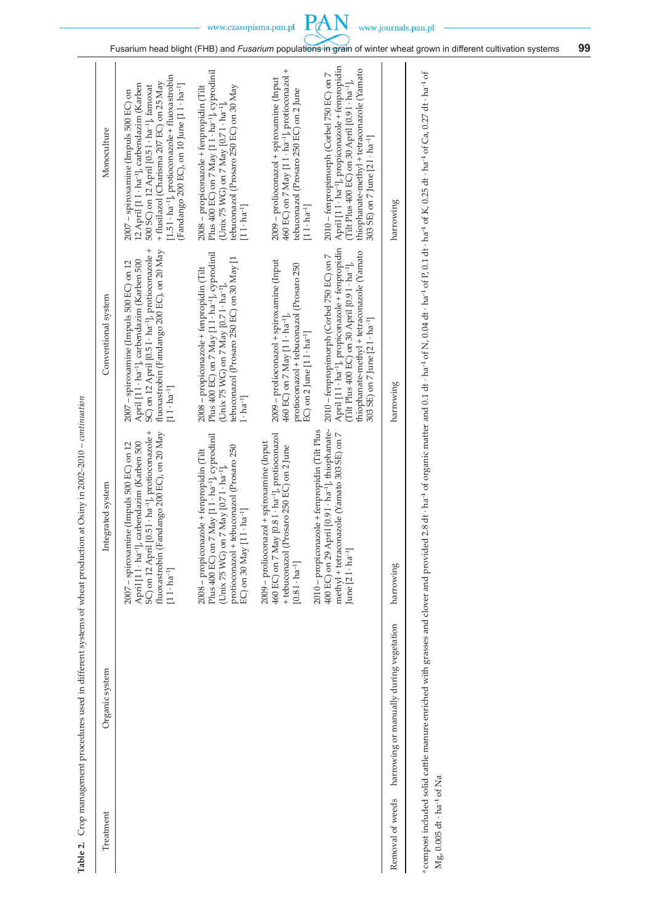| April [11 · ha <sup>-1</sup> ], propiconazole + fenpropidin<br>thiophanate-methyl + tetraconazole (Yamato<br>(Tilt Plus 400 EC) on 30 April [0.9 1 · ha <sup>-1</sup> ],<br>303 SE) on 7 June [2 1 · ha <sup>-1</sup> ]<br>April [11 · ha <sup>-1</sup> ], propiconazole + fenpropidin<br>thiophanate-methyl + tetraconazole (Yamato<br>(Tilt Plus 400 EC) on 30 April [0.91 · ha <sup>-1</sup> ],<br>303 SE) on 7 June [2 1 · ha <sup>-1</sup> ]<br>methyl + tetraconazole (Yamato 303 SE) on 7<br>June $[21 \cdot ha^{-1}]$ |
|-------------------------------------------------------------------------------------------------------------------------------------------------------------------------------------------------------------------------------------------------------------------------------------------------------------------------------------------------------------------------------------------------------------------------------------------------------------------------------------------------------------------------------|
| harrowing<br>harrowing<br>harrowing<br>harrowing or manually during vegetation<br>Removal of weeds                                                                                                                                                                                                                                                                                                                                                                                                                            |
|                                                                                                                                                                                                                                                                                                                                                                                                                                                                                                                               |

a compost included solid cattle manure enriched with grasses and clover and provided 2.8 dt · ha<sup>-1</sup> of organic matter and 0.1 dt · ha<sup>-1</sup> of N, 0.04 dt · ha<sup>-1</sup> of P, 0.1 dt · ha<sup>-1</sup> of K, 0.25 dt · ha<sup>-1</sup> of Ca, 0.27 dt a compost included solid cattle manure enriched with grasses and dover and provided 2.8 dt · ha<sup>-1</sup> of organic matter and 0.1 dt · ha<sup>-1</sup> of N, 0.04 dt · ha<sup>-1</sup> of K, 0.25 dt · ha<sup>-1</sup> of Ca, 0.27 dt · ha<sup>-1</sup> of Mg, 0.005 dt · ha<sup>-1</sup> of Na Mg, 0.005 dt · ha–**1** of Na

PAN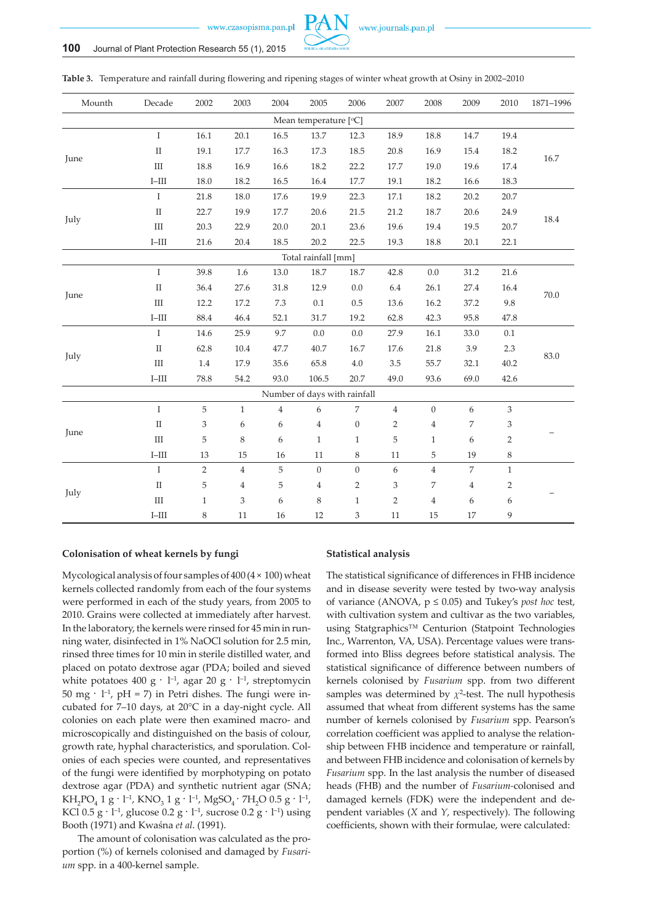

| Mounth | Decade          | 2002                      | 2003                      | 2004           | 2005                         | 2006             | 2007           | 2008             | 2009           | 2010           | 1871-1996 |
|--------|-----------------|---------------------------|---------------------------|----------------|------------------------------|------------------|----------------|------------------|----------------|----------------|-----------|
|        |                 |                           |                           |                | Mean temperature [°C]        |                  |                |                  |                |                |           |
|        | $\mathbf I$     | 16.1                      | 20.1                      | 16.5           | 13.7                         | 12.3             | 18.9           | 18.8             | 14.7           | 19.4           |           |
| June   | $\rm II$        | 19.1                      | 17.7                      | 16.3           | 17.3                         | 18.5             | 20.8           | 16.9             | 15.4           | 18.2           | 16.7      |
|        | $\rm III$       | 18.8                      | 16.9                      | 16.6           | 18.2                         | 22.2             | 17.7           | 19.0             | 19.6           | 17.4           |           |
|        | $\text{I--III}$ | 18.0                      | 18.2                      | 16.5           | 16.4                         | 17.7             | 19.1           | 18.2             | 16.6           | 18.3           |           |
|        | $\rm I$         | 21.8                      | $18.0\,$                  | 17.6           | 19.9                         | 22.3             | 17.1           | 18.2             | 20.2           | 20.7           |           |
|        | $\rm II$        | 22.7                      | 19.9                      | 17.7           | 20.6                         | 21.5             | 21.2           | 18.7             | 20.6           | 24.9           | 18.4      |
| July   | $\rm III$       | 20.3                      | 22.9                      | 20.0           | 20.1                         | 23.6             | 19.6           | 19.4             | 19.5           | 20.7           |           |
|        | $_{\rm I-III}$  | 21.6                      | 20.4                      | 18.5           | 20.2                         | 22.5             | 19.3           | 18.8             | 20.1           | 22.1           |           |
|        |                 |                           |                           |                | Total rainfall [mm]          |                  |                |                  |                |                |           |
|        | $\mathbf I$     | 39.8                      | 1.6                       | 13.0           | 18.7                         | 18.7             | 42.8           | $0.0\,$          | 31.2           | 21.6           |           |
| June   | $\rm II$        | 36.4                      | 27.6                      | 31.8           | 12.9                         | 0.0              | 6.4            | 26.1             | 27.4           | 16.4           |           |
|        | $\rm III$       | 12.2                      | 17.2                      | $7.3\,$        | $0.1\,$                      | 0.5              | 13.6           | 16.2             | 37.2           | 9.8            | $70.0\,$  |
|        | $\text{I--III}$ | 88.4                      | 46.4                      | 52.1           | 31.7                         | 19.2             | 62.8           | 42.3             | 95.8           | 47.8           |           |
|        | $\mathbf I$     | 14.6                      | 25.9                      | 9.7            | 0.0                          | $0.0\,$          | 27.9           | 16.1             | 33.0           | $0.1\,$        |           |
| July   | $\rm II$        | 62.8                      | $10.4\,$                  | 47.7           | 40.7                         | 16.7             | 17.6           | 21.8             | 3.9            | 2.3            | 83.0      |
|        | $\rm III$       | $1.4\,$                   | 17.9                      | 35.6           | 65.8                         | $4.0\,$          | $3.5\,$        | 55.7             | 32.1           | 40.2           |           |
|        | $_{\rm I-III}$  | $78.8\,$                  | 54.2                      | 93.0           | 106.5                        | 20.7             | 49.0           | 93.6             | 69.0           | 42.6           |           |
|        |                 |                           |                           |                | Number of days with rainfall |                  |                |                  |                |                |           |
|        | $\rm I$         | $\sqrt{5}$                | $\mathbf{1}$              | $\overline{4}$ | 6                            | $\overline{7}$   | $\overline{4}$ | $\boldsymbol{0}$ | 6              | $\mathfrak{Z}$ |           |
|        | $\rm II$        | $\ensuremath{\mathsf{3}}$ | 6                         | 6              | $\overline{4}$               | $\boldsymbol{0}$ | $\sqrt{2}$     | $\overline{4}$   | 7              | 3              |           |
| June   | $\rm III$       | 5                         | 8                         | 6              | $\mathbf{1}$                 | $\mathbf{1}$     | 5              | $\mathbf{1}$     | 6              | $\overline{2}$ |           |
|        | $\text{I--III}$ | 13                        | 15                        | 16             | $11\,$                       | $\,8\,$          | 11             | 5                | 19             | $\,8\,$        |           |
|        | $\mathbf I$     | $\overline{2}$            | $\,4$                     | 5              | $\boldsymbol{0}$             | $\mathbf{0}$     | 6              | $\overline{4}$   | $\overline{7}$ | $\mathbf{1}$   |           |
|        | $\rm II$        | $\mathbf 5$               | $\overline{4}$            | 5              | $\bf 4$                      | $\sqrt{2}$       | 3              | 7                | $\overline{4}$ | $\overline{2}$ |           |
| July   | $\rm III$       | $\mathbf{1}$              | $\ensuremath{\mathsf{3}}$ | 6              | $\,$ 8 $\,$                  | $\,1\,$          | $\sqrt{2}$     | $\overline{4}$   | 6              | 6              |           |
|        | $\text{I--III}$ | $\,8\,$                   | 11                        | 16             | 12                           | 3                | 11             | 15               | 17             | 9              |           |

**Table 3.** Temperature and rainfall during flowering and ripening stages of winter wheat growth at Osiny in 2002–2010

### **Colonisation of wheat kernels by fungi**

Mycological analysis of four samples of 400 (4 × 100) wheat kernels collected randomly from each of the four systems were performed in each of the study years, from 2005 to 2010. Grains were collected at immediately after harvest. In the laboratory, the kernels were rinsed for 45 min in running water, disinfected in 1% NaOCl solution for 2.5 min, rinsed three times for 10 min in sterile distilled water, and placed on potato dextrose agar (PDA; boiled and sieved white potatoes 400 g ·  $l^{-1}$ , agar 20 g ·  $l^{-1}$ , streptomycin 50 mg ·  $l^{-1}$ , pH = 7) in Petri dishes. The fungi were incubated for 7–10 days, at 20°C in a day-night cycle. All colonies on each plate were then examined macro- and microscopically and distinguished on the basis of colour, growth rate, hyphal characteristics, and sporulation. Colonies of each species were counted, and representatives of the fungi were identified by morphotyping on potato dextrose agar (PDA) and synthetic nutrient agar (SNA;  $KH_2PO_4$  1 g · l<sup>-1</sup>, KNO<sub>3</sub> 1 g · l<sup>-1</sup>, MgSO<sub>4</sub> · 7H<sub>2</sub>O 0.5 g · l<sup>-1</sup>, KCl 0.5 g  $\cdot$  l<sup>-1</sup>, glucose 0.2 g  $\cdot$  l<sup>-1</sup>, sucrose 0.2 g  $\cdot$  l<sup>-1</sup>) using Booth (1971) and Kwaśna *et al*. (1991).

The amount of colonisation was calculated as the proportion (%) of kernels colonised and damaged by *Fusarium* spp. in a 400-kernel sample.

### **Statistical analysis**

The statistical significance of differences in FHB incidence and in disease severity were tested by two-way analysis of variance (ANOVA, p ≤ 0.05) and Tukey's *post hoc* test, with cultivation system and cultivar as the two variables, using Statgraphics™ Centurion (Statpoint Technologies Inc., Warrenton, VA, USA). Percentage values were transformed into Bliss degrees before statistical analysis. The statistical significance of difference between numbers of kernels colonised by *Fusarium* spp. from two different samples was determined by  $\chi^2$ -test. The null hypothesis assumed that wheat from different systems has the same number of kernels colonised by *Fusarium* spp. Pearson's correlation coefficient was applied to analyse the relationship between FHB incidence and temperature or rainfall, and between FHB incidence and colonisation of kernels by *Fusarium* spp. In the last analysis the number of diseased heads (FHB) and the number of *Fusarium-*colonised and damaged kernels (FDK) were the independent and dependent variables (*X* and *Y*, respectively). The following coefficients, shown with their formulae, were calculated: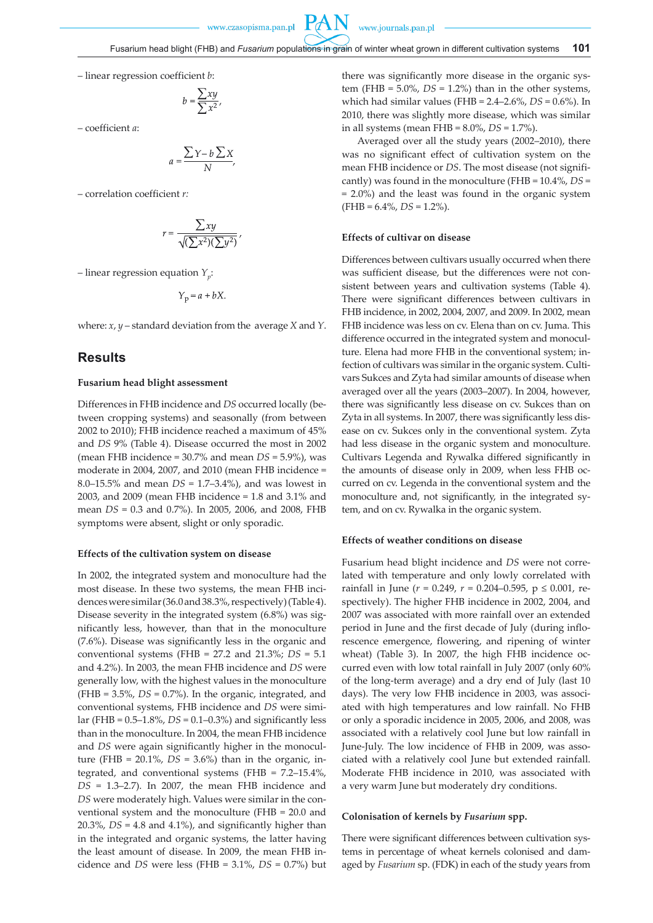www.journals.pan.pl

**PAN** 

– linear regression coefficient *b*:

$$
b = \frac{\sum xy}{\sum x^2}
$$

– coefficient *a*:

$$
a = \frac{\sum Y - b \sum X}{N}
$$

– correlation coefficient *r:*

$$
r = \frac{\sum xy}{\sqrt{(\sum x^2)(\sum y^2)}}
$$

 $-$  linear regression equation  $Y_{n}$ :

 $Y_p = a + bX$ .

where: *x*, *y* – standard deviation from the average *X* and *Y*.

# **Results**

### **Fusarium head blight assessment**

Differences in FHB incidence and *DS* occurred locally (between cropping systems) and seasonally (from between 2002 to 2010); FHB incidence reached a maximum of 45% and *DS* 9% (Table 4). Disease occurred the most in 2002 (mean FHB incidence = 30.7% and mean *DS* = 5.9%), was moderate in 2004, 2007, and 2010 (mean FHB incidence = 8.0–15.5% and mean *DS* = 1.7–3.4%), and was lowest in 2003, and 2009 (mean FHB incidence = 1.8 and 3.1% and mean *DS* = 0.3 and 0.7%). In 2005, 2006, and 2008, FHB symptoms were absent, slight or only sporadic.

#### **Effects of the cultivation system on disease**

In 2002, the integrated system and monoculture had the most disease. In these two systems, the mean FHB incidences were similar (36.0 and 38.3%, respectively) (Table 4). Disease severity in the integrated system (6.8%) was significantly less, however, than that in the monoculture (7.6%). Disease was significantly less in the organic and conventional systems (FHB = 27.2 and 21.3%; *DS* = 5.1 and 4.2%). In 2003, the mean FHB incidence and *DS* were generally low, with the highest values in the monoculture (FHB = 3.5%, *DS* = 0.7%). In the organic, integrated, and conventional systems, FHB incidence and *DS* were similar (FHB =  $0.5 - 1.8\%$ , *DS* =  $0.1 - 0.3\%$ ) and significantly less than in the monoculture. In 2004, the mean FHB incidence and *DS* were again significantly higher in the monoculture (FHB =  $20.1\%$ , *DS* =  $3.6\%$ ) than in the organic, integrated, and conventional systems (FHB = 7.2–15.4%, *DS* = 1.3–2.7). In 2007, the mean FHB incidence and *DS* were moderately high. Values were similar in the conventional system and the monoculture (FHB = 20.0 and 20.3%, *DS* = 4.8 and 4.1%), and significantly higher than in the integrated and organic systems, the latter having the least amount of disease. In 2009, the mean FHB incidence and *DS* were less (FHB = 3.1%, *DS* = 0.7%) but

there was significantly more disease in the organic system (FHB =  $5.0\%$ , *DS* =  $1.2\%$ ) than in the other systems, which had similar values (FHB = 2.4–2.6%, *DS* = 0.6%). In 2010, there was slightly more disease, which was similar in all systems (mean FHB = 8.0%, *DS* = 1.7%).

Averaged over all the study years (2002–2010), there was no significant effect of cultivation system on the mean FHB incidence or *DS*. The most disease (not significantly) was found in the monoculture (FHB = 10.4%, *DS* = = 2.0%) and the least was found in the organic system  $(FHB = 6.4\%, DS = 1.2\%).$ 

## **Effects of cultivar on disease**

Differences between cultivars usually occurred when there was sufficient disease, but the differences were not consistent between years and cultivation systems (Table 4). There were significant differences between cultivars in FHB incidence, in 2002, 2004, 2007, and 2009. In 2002, mean FHB incidence was less on cv. Elena than on cv. Juma. This difference occurred in the integrated system and monoculture. Elena had more FHB in the conventional system; infection of cultivars was similar in the organic system. Cultivars Sukces and Zyta had similar amounts of disease when averaged over all the years (2003–2007). In 2004, however, there was significantly less disease on cv. Sukces than on Zyta in all systems. In 2007, there was significantly less disease on cv. Sukces only in the conventional system. Zyta had less disease in the organic system and monoculture. Cultivars Legenda and Rywalka differed significantly in the amounts of disease only in 2009, when less FHB occurred on cv. Legenda in the conventional system and the monoculture and, not significantly, in the integrated sytem, and on cv. Rywalka in the organic system.

### **Effects of weather conditions on disease**

Fusarium head blight incidence and *DS* were not correlated with temperature and only lowly correlated with rainfall in June (*r* = 0.249, *r* = 0.204–0.595, p ≤ 0.001, respectively). The higher FHB incidence in 2002, 2004, and 2007 was associated with more rainfall over an extended period in June and the first decade of July (during inflorescence emergence, flowering, and ripening of winter wheat) (Table 3). In 2007, the high FHB incidence occurred even with low total rainfall in July 2007 (only 60% of the long-term average) and a dry end of July (last 10 days). The very low FHB incidence in 2003, was associated with high temperatures and low rainfall. No FHB or only a sporadic incidence in 2005, 2006, and 2008, was associated with a relatively cool June but low rainfall in June-July. The low incidence of FHB in 2009, was associated with a relatively cool June but extended rainfall. Moderate FHB incidence in 2010, was associated with a very warm June but moderately dry conditions.

#### **Colonisation of kernels by** *Fusarium* **spp.**

There were significant differences between cultivation systems in percentage of wheat kernels colonised and damaged by *Fusarium* sp. (FDK) in each of the study years from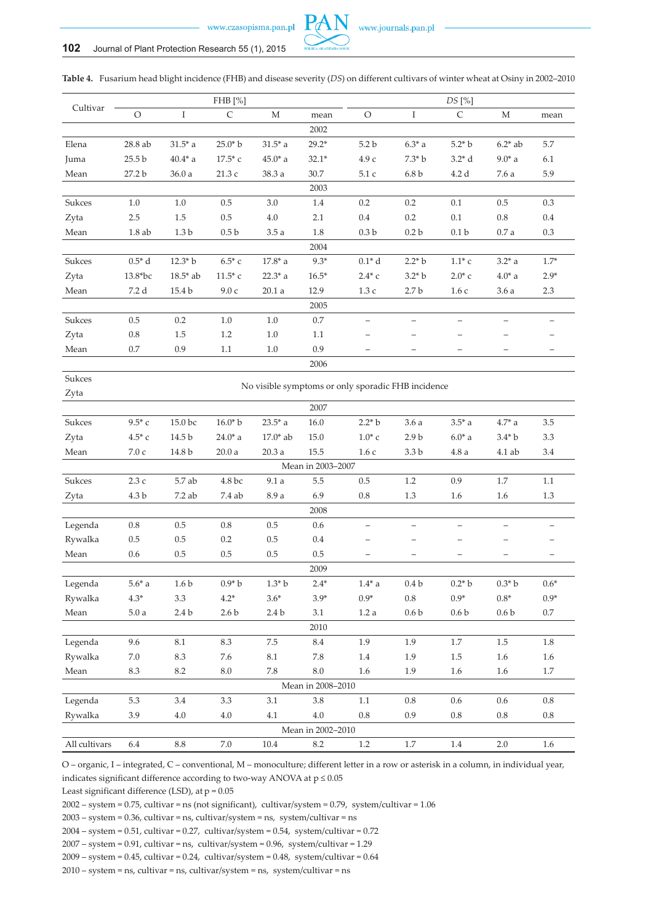

|               |                   |                   | FHB [%]            |                  |                   |                                                    |                          | DS [%]            |                          |                   |
|---------------|-------------------|-------------------|--------------------|------------------|-------------------|----------------------------------------------------|--------------------------|-------------------|--------------------------|-------------------|
| Cultivar      | O                 | $\rm I$           | $\mathsf C$        | $\mathbf M$      | mean              | $\circ$                                            | I                        | $\mathsf C$       | $\mathbf M$              | mean              |
|               |                   |                   |                    |                  | 2002              |                                                    |                          |                   |                          |                   |
| $\rm Elena$   | 28.8 ab           | $31.5*$ a         | $25.0* b$          | $31.5*$ a        | $29.2*$           | 5.2 <sub>b</sub>                                   | $6.3*$ a                 | $5.2* b$          | $6.2*$ ab                | 5.7               |
| Juma          | 25.5 <sub>b</sub> | $40.4*$ a         | $17.5*$ c          | $45.0*$ a        | $32.1*$           | $4.9c$                                             | $7.3* b$                 | $3.2* d$          | $9.0*$ a                 | 6.1               |
| Mean          | 27.2 b            | 36.0a             | 21.3c              | 38.3 a           | 30.7              | 5.1 c                                              | 6.8 <sub>b</sub>         | 4.2d              | 7.6 a                    | 5.9               |
|               |                   |                   |                    |                  | 2003              |                                                    |                          |                   |                          |                   |
| Sukces        | 1.0               | 1.0               | 0.5                | 3.0              | 1.4               | 0.2                                                | 0.2                      | 0.1               | 0.5                      | 0.3               |
| Zyta          | $2.5\,$           | 1.5               | 0.5                | $4.0\,$          | 2.1               | 0.4                                                | $0.2\,$                  | $0.1\,$           | 0.8                      | $0.4\,$           |
| Mean          | 1.8ab             | 1.3 <sub>b</sub>  | 0.5 <sub>b</sub>   | 3.5a             | 1.8               | 0.3 <sub>b</sub>                                   | 0.2 <sub>b</sub>         | 0.1 <sub>b</sub>  | 0.7a                     | 0.3               |
|               |                   |                   |                    |                  | 2004              |                                                    |                          |                   |                          |                   |
| Sukces        | $0.5* d$          | $12.3* b$         | $6.5*$ c           | $17.8*$ a        | $9.3*$            | $0.1*$ d                                           | $2.2* b$                 | $1.1*$ c          | $3.2* a$                 | $1.7*$            |
| Zyta          | 13.8*bc           | $18.5*$ ab        | $11.5*$ c          | $22.3*$ a        | $16.5*$           | $2.4*$ c                                           | $3.2* b$                 | $2.0*$ c          | $4.0*$ a                 | $2.9*$            |
| Mean          | 7.2 d             | 15.4 b            | 9.0c               | 20.1a            | 12.9              | 1.3c                                               | 2.7 <sub>b</sub>         | 1.6c              | 3.6a                     | $2.3\,$           |
|               |                   |                   |                    |                  | 2005              |                                                    |                          |                   |                          |                   |
| Sukces        | $0.5\,$           | 0.2               | $1.0\,$            | $1.0\,$          | $0.7\,$           | $\overline{\phantom{0}}$                           | $\overline{\phantom{0}}$ |                   | $\overline{\phantom{0}}$ |                   |
| Zyta          | $0.8\,$           | 1.5               | 1.2                | 1.0              | $1.1\,$           |                                                    |                          |                   | -                        |                   |
| Mean          | $0.7\,$           | 0.9               | 1.1                | $1.0$            | 0.9               | —                                                  |                          |                   | $\qquad \qquad -$        | $\qquad \qquad -$ |
|               |                   |                   |                    |                  | 2006              |                                                    |                          |                   |                          |                   |
| Sukces        |                   |                   |                    |                  |                   |                                                    |                          |                   |                          |                   |
| Zyta          |                   |                   |                    |                  |                   | No visible symptoms or only sporadic FHB incidence |                          |                   |                          |                   |
|               |                   |                   |                    |                  | 2007              |                                                    |                          |                   |                          |                   |
| Sukces        | $9.5*$ c          | 15.0 bc           | $16.0* b$          | $23.5*$ a        | 16.0              | $2.2* b$                                           | 3.6a                     | $3.5^*$ a         | $4.7^*$ a                | 3.5               |
| Zyta          | $4.5*$ c          | 14.5 b            | $24.0*$ a          | $17.0*$ ab       | 15.0              | $1.0^{*}$ c                                        | 2.9 <sub>b</sub>         | $6.0*$ a          | $3.4^{\ast}$ b           | 3.3               |
| Mean          | $7.0\rm\;c$       | 14.8 b            | $20.0\ \text{a}$   | 20.3a            | 15.5              | 1.6c                                               | $3.3\,\mathrm{b}$        | $4.8\ \rm{a}$     | 4.1 ab                   | 3.4               |
|               |                   |                   |                    |                  | Mean in 2003-2007 |                                                    |                          |                   |                          |                   |
| Sukces        | 2.3c              | 5.7 ab            | $4.8\,\mathrm{bc}$ | 9.1a             | $5.5\,$           | $0.5\,$                                            | 1.2                      | 0.9               | 1.7                      | 1.1               |
| Zyta          | 4.3 b             | 7.2 ab            | 7.4 ab             | 8.9 a            | 6.9               | 0.8                                                | 1.3                      | 1.6               | 1.6                      | 1.3               |
|               |                   |                   |                    |                  | 2008              |                                                    |                          |                   |                          |                   |
| Legenda       | $0.8\,$           | 0.5               | 0.8                | 0.5              | $0.6\,$           | —                                                  | $\qquad \qquad -$        |                   |                          |                   |
| Rywalka       | 0.5               | 0.5               | 0.2                | $0.5\,$          | 0.4               |                                                    | -                        |                   | <u>—</u>                 | -                 |
| Mean          | 0.6               | 0.5               | 0.5                | 0.5              | 0.5               | -                                                  | $\qquad \qquad -$        | $\qquad \qquad -$ | $\qquad \qquad -$        | $\qquad \qquad -$ |
|               |                   |                   |                    |                  | 2009              |                                                    |                          |                   |                          |                   |
| Legenda       | $5.6^{\ast}$ a    | 1.6 <sub>b</sub>  | $0.9* b$           | $1.3* b$         | $2.4*$            | $1.4^{\ast}$ a                                     | 0.4 <sub>b</sub>         | $0.2* b$          | $0.3* b$                 | $0.6*$            |
| Rywalka       | $4.3*$            | 3.3               | $4.2^\ast$         | $3.6*$           | $3.9*$            | $0.9*$                                             | $0.8\,$                  | $0.9*$            | $0.8*$                   | $0.9*$            |
| Mean          | 5.0a              | $2.4\,\mathrm{b}$ | $2.6\,\mathrm{b}$  | 2.4 <sub>b</sub> | $3.1\,$           | 1.2a                                               | 0.6 <sub>b</sub>         | 0.6 <sub>b</sub>  | 0.6 <sub>b</sub>         | $0.7\,$           |
|               |                   |                   |                    |                  | 2010              |                                                    |                          |                   |                          |                   |
| Legenda       | 9.6               | 8.1               | 8.3                | 7.5              | 8.4               | $1.9\,$                                            | 1.9                      | $1.7\,$           | 1.5                      | 1.8               |
| Rywalka       | $7.0\,$           | $\!\!\!\!\!8.3$   | $7.6\,$            | $\!\!\!\!\!8.1$  | 7.8               | $1.4\,$                                            | 1.9                      | $1.5\,$           | $1.6\,$                  | 1.6               |
| Mean          | $\!\!8.3$         | 8.2               | $8.0\,$            | 7.8              | $8.0\,$           | 1.6                                                | 1.9                      | $1.6\,$           | $1.6\,$                  | 1.7               |
|               |                   |                   |                    |                  | Mean in 2008-2010 |                                                    |                          |                   |                          |                   |
| Legenda       | 5.3               | 3.4               | $3.3\,$            | 3.1              | $3.8\,$           | 1.1                                                | $0.8\,$                  | $0.6\,$           | 0.6                      | $0.8\,$           |
| Rywalka       | 3.9               | 4.0               | 4.0                | 4.1              | $4.0\,$           | $\rm 0.8$                                          | 0.9                      | $0.8\,$           | $0.8\,$                  | $0.8\,$           |
|               |                   |                   |                    |                  | Mean in 2002-2010 |                                                    |                          |                   |                          |                   |
| All cultivars | $6.4\,$           | $8.8\,$           | $7.0\,$            | $10.4\,$         | $\!\!8.2$         | $1.2\,$                                            | $1.7\,$                  | $1.4\,$           | 2.0                      | 1.6               |

**Table 4.** Fusarium head blight incidence (FHB) and disease severity (*DS*) on different cultivars of winter wheat at Osiny in 2002–2010

PA

O – organic, I – integrated, C – conventional, M – monoculture; different letter in a row or asterisk in a column, in individual year, indicates significant difference according to two-way ANOVA at  $p \le 0.05$ 

Least significant difference (LSD), at  $p = 0.05$ 

2002 – system = 0.75, cultivar = ns (not significant), cultivar/system = 0.79, system/cultivar = 1.06

 $2003 - system = 0.36$ , cultivar = ns, cultivar/system = ns, system/cultivar = ns

 $2004 - system = 0.51$ , cultivar = 0.27, cultivar/system = 0.54, system/cultivar = 0.72

 $2007 - system = 0.91$ , cultivar = ns, cultivar/system = 0.96, system/cultivar = 1.29

 $2009 - system = 0.45$ , cultivar = 0.24, cultivar/system = 0.48, system/cultivar = 0.64

2010 – system = ns, cultivar = ns, cultivar/system = ns, system/cultivar = ns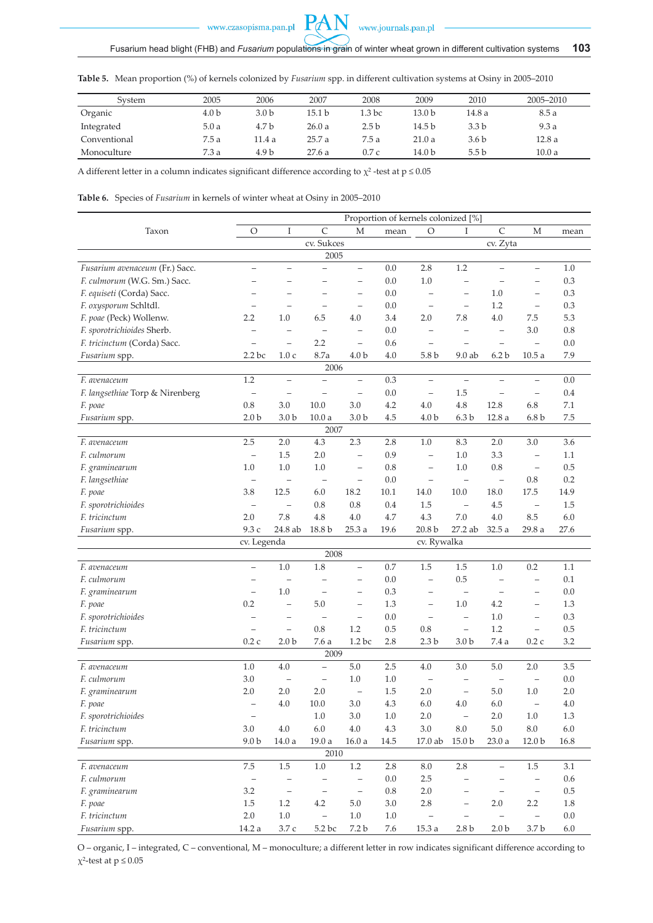

**Table 5.** Mean proportion (%) of kernels colonized by *Fusarium* spp. in different cultivation systems at Osiny in 2005–2010

PAN

| System       | 2005             | 2006             | 2007              | 2008             | 2009   | 2010             | 2005-2010 |
|--------------|------------------|------------------|-------------------|------------------|--------|------------------|-----------|
| Organic      | 4.0 <sub>b</sub> | 3.0 <sub>b</sub> | 15.1 <sub>b</sub> | 1.3 bc           | 13.0 b | 14.8 a           | 8.5a      |
| Integrated   | 5.0a             | 4.7 b            | 26.0a             | 2.5 <sub>b</sub> | 14.5 b | 3.3 <sub>b</sub> | 9.3a      |
| Conventional | 7.5a             | 11.4 a           | 25.7a             | 7.5a             | 21.0a  | 3.6 <sub>b</sub> | 12.8a     |
| Monoculture  | 7.3a             | 4.9 <sub>b</sub> | 27.6a             | 0.7c             | 14.0 b | 5.5 <sub>b</sub> | 10.0a     |

A different letter in a column indicates significant difference according to  $\chi^2$ -test at p  $\leq 0.05$ 

**Table 6.** Species of *Fusarium* in kernels of winter wheat at Osiny in 2005–2010

|                                      |                          |                          |                          |                          |         | Proportion of kernels colonized [%] |                          |                          |                          |         |
|--------------------------------------|--------------------------|--------------------------|--------------------------|--------------------------|---------|-------------------------------------|--------------------------|--------------------------|--------------------------|---------|
| Taxon                                | O                        | I                        | $\mathsf{C}$             | М                        | mean    | O                                   | I                        | $\mathsf{C}$             | М                        | mean    |
|                                      |                          |                          | cv. Sukces               |                          |         |                                     |                          | cv. Zyta                 |                          |         |
|                                      |                          |                          | 2005                     |                          |         |                                     |                          |                          |                          |         |
| Fusarium avenaceum (Fr.) Sacc.       | $\overline{\phantom{m}}$ | $\overline{\phantom{0}}$ |                          | $\qquad \qquad -$        | 0.0     | 2.8                                 | 1.2                      |                          | $\qquad \qquad -$        | 1.0     |
| F. culmorum (W.G. Sm.) Sacc.         | $\overline{\phantom{0}}$ | $\overline{\phantom{0}}$ | $\overline{\phantom{0}}$ | $\overline{\phantom{0}}$ | 0.0     | 1.0                                 | $\qquad \qquad -$        |                          | $\overline{\phantom{0}}$ | 0.3     |
| F. equiseti (Corda) Sacc.            |                          |                          |                          | $\qquad \qquad -$        | 0.0     | $\overline{\phantom{0}}$            | $\qquad \qquad -$        | 1.0                      | $\overline{\phantom{0}}$ | 0.3     |
| F. oxysporum Schltdl.                |                          | $\equiv$                 | $\overline{\phantom{0}}$ | $\overline{\phantom{0}}$ | 0.0     | $\overline{\phantom{0}}$            | $\overline{\phantom{0}}$ | 1.2                      | $\overline{\phantom{m}}$ | 0.3     |
| F. poae (Peck) Wollenw.              | 2.2                      | 1.0                      | 6.5                      | 4.0                      | 3.4     | 2.0                                 | 7.8                      | 4.0                      | 7.5                      | 5.3     |
| F. sporotrichioides Sherb.           | $\overline{\phantom{0}}$ | $\qquad \qquad -$        | $\overline{\phantom{a}}$ | $\qquad \qquad -$        | 0.0     | $\qquad \qquad -$                   | $\overline{\phantom{0}}$ | $\qquad \qquad -$        | 3.0                      | 0.8     |
| F. tricinctum (Corda) Sacc.          |                          | $\overline{\phantom{0}}$ | 2.2                      | $\overline{\phantom{m}}$ | 0.6     | $\qquad \qquad -$                   | $\overline{\phantom{0}}$ | $\overline{\phantom{0}}$ | $\overline{\phantom{0}}$ | 0.0     |
| Fusarium spp.                        | 2.2 <sub>bc</sub>        | 1.0c                     | 8.7a                     | 4.0 <sub>b</sub>         | 4.0     | 5.8 <sub>b</sub>                    | $9.0$ ab                 | 6.2 <sub>b</sub>         | 10.5a                    | 7.9     |
|                                      |                          |                          | 2006                     |                          |         |                                     |                          |                          |                          |         |
| F. avenaceum                         | 1.2                      | $\equiv$                 | $\overline{\phantom{0}}$ | $\overline{\phantom{0}}$ | 0.3     | $\equiv$                            | $\equiv$                 |                          | $\equiv$                 | 0.0     |
| F. langsethiae Torp & Nirenberg      | $\overline{\phantom{a}}$ |                          |                          | $\qquad \qquad -$        | 0.0     | $\qquad \qquad -$                   | 1.5                      |                          |                          | 0.4     |
| F. poae                              | $0.8\,$                  | 3.0                      | 10.0                     | 3.0                      | 4.2     | 4.0                                 | 4.8                      | 12.8                     | 6.8                      | $7.1\,$ |
| Fusarium spp.                        | 2.0 <sub>b</sub>         | 3.0 <sub>b</sub>         | 10.0a                    | 3.0 <sub>b</sub>         | 4.5     | 4.0 <sub>b</sub>                    | 6.3 <sub>b</sub>         | 12.8a                    | 6.8 <sub>b</sub>         | 7.5     |
|                                      |                          |                          | 2007                     |                          |         |                                     |                          |                          |                          |         |
| F. avenaceum                         | 2.5                      | 2.0                      | 4.3                      | 2.3                      | 2.8     | 1.0                                 | 8.3                      | 2.0                      | 3.0                      | 3.6     |
| F. culmorum                          | $\qquad \qquad -$        | 1.5                      | 2.0                      | $\qquad \qquad -$        | 0.9     | $\overline{\phantom{0}}$            | 1.0                      | 3.3                      | $\overline{\phantom{a}}$ | 1.1     |
| F. graminearum                       | 1.0                      | 1.0                      | 1.0                      | $\qquad \qquad -$        | 0.8     | $\qquad \qquad -$                   | 1.0                      | 0.8                      | $\overline{\phantom{0}}$ | 0.5     |
| F. langsethiae                       | $\qquad \qquad -$        | $\overline{\phantom{0}}$ | $\overline{\phantom{0}}$ | $\qquad \qquad -$        | 0.0     | $\qquad \qquad -$                   | $\overline{\phantom{0}}$ | $\overline{\phantom{0}}$ | 0.8                      | 0.2     |
| F. poae                              | 3.8                      | 12.5                     | 6.0                      | 18.2                     | 10.1    | $14.0\,$                            | 10.0                     | 18.0                     | 17.5                     | 14.9    |
|                                      | $\qquad \qquad -$        | $\overline{\phantom{0}}$ | 0.8                      | 0.8                      | 0.4     | 1.5                                 | $\overline{\phantom{0}}$ | 4.5                      | $\overline{\phantom{0}}$ | 1.5     |
| F. sporotrichioides<br>F. tricinctum | 2.0                      | 7.8                      | 4.8                      | 4.0                      | 4.7     | 4.3                                 | 7.0                      | 4.0                      | 8.5                      | 6.0     |
|                                      |                          |                          |                          |                          |         |                                     |                          |                          |                          |         |
| Fusarium spp.                        | 9.3 с                    | 24.8 ab                  | 18.8 b                   | 25.3 a                   | 19.6    | 20.8 <sub>b</sub>                   | 27.2 ab                  | 32.5 a                   | 29.8a                    | 27.6    |
|                                      | cv. Legenda              |                          | 2008                     |                          |         | cv. Rywalka                         |                          |                          |                          |         |
| F. avenaceum                         | $\equiv$                 | 1.0                      | 1.8                      | $\equiv$                 | 0.7     | 1.5                                 | 1.5                      | 1.0                      | 0.2                      | 1.1     |
| F. culmorum                          | $\overline{\phantom{0}}$ |                          |                          | $\qquad \qquad -$        | 0.0     | $\overline{\phantom{0}}$            | 0.5                      | $\qquad \qquad -$        | $\qquad \qquad -$        | 0.1     |
|                                      |                          | 1.0                      |                          | $\overline{\phantom{0}}$ |         |                                     |                          |                          |                          | 0.0     |
| F. graminearum                       | $\overline{\phantom{0}}$ |                          |                          |                          | 0.3     | $\qquad \qquad -$                   | $\overline{\phantom{0}}$ | $\qquad \qquad$          | $\qquad \qquad -$        |         |
| F. poae                              | 0.2                      | $\overline{\phantom{0}}$ | 5.0                      | $\overline{\phantom{0}}$ | 1.3     | $\equiv$                            | 1.0                      | 4.2                      | $\overline{\phantom{0}}$ | 1.3     |
| F. sporotrichioides                  |                          |                          |                          | $\overline{\phantom{0}}$ | 0.0     | $\qquad \qquad -$                   | $\qquad \qquad -$        | 1.0                      | $\overline{\phantom{0}}$ | 0.3     |
| F. tricinctum                        |                          |                          | 0.8                      | 1.2                      | 0.5     | 0.8                                 | $\overline{\phantom{0}}$ | 1.2                      | $\overline{\phantom{0}}$ | 0.5     |
| Fusarium spp.                        | 0.2c                     | 2.0 <sub>b</sub>         | 7.6 a                    | 1.2 bc                   | 2.8     | 2.3 <sub>b</sub>                    | 3.0 <sub>b</sub>         | 7.4 a                    | 0.2c                     | 3.2     |
|                                      |                          |                          | 2009                     |                          |         |                                     |                          |                          |                          |         |
| F. avenaceum                         | 1.0                      | 4.0                      | $\equiv$                 | $5.0$                    | 2.5     | 4.0                                 | 3.0                      | 5.0                      | 2.0                      | 3.5     |
| F. culmorum                          | 3.0                      | $\qquad \qquad$          | $\qquad \qquad -$        | 1.0                      | 1.0     | $\qquad \qquad -$                   | $\overline{\phantom{0}}$ | $\qquad \qquad -$        | $\overline{\phantom{m}}$ | 0.0     |
| F. graminearum                       | 2.0                      | 2.0                      | 2.0                      | $\qquad \qquad -$        | 1.5     | 2.0                                 | $\qquad \qquad -$        | 5.0                      | 1.0                      | 2.0     |
| F. poae                              | $\overline{a}$           | 4.0                      | 10.0                     | 3.0                      | 4.3     | 6.0                                 | 4.0                      | 6.0                      |                          | 4.0     |
| F. sporotrichioides                  | $\qquad \qquad -$        |                          | $1.0\,$                  | $3.0\,$                  | $1.0\,$ | $2.0\,$                             | $\qquad \qquad -$        | $2.0\,$                  | $1.0\,$                  | 1.3     |
| F. tricinctum                        | $3.0\,$                  | $4.0\,$                  | $6.0\,$                  | $4.0\,$                  | 4.3     | $3.0\,$                             | $\ \, 8.0$               | $5.0\,$                  | $8.0\,$                  | $6.0\,$ |
| Fusarium spp.                        | 9.0 <sub>b</sub>         | 14.0a                    | $19.0\ \rm{a}$           | 16.0a                    | 14.5    | 17.0 ab                             | $15.0\,\mathrm{b}$       | 23.0a                    | 12.0 <sub>b</sub>        | 16.8    |
|                                      |                          |                          | 2010                     |                          |         |                                     |                          |                          |                          |         |
| F. avenaceum                         | 7.5                      | $1.5\,$                  | $1.0\,$                  | $1.2\,$                  | 2.8     | 8.0                                 | 2.8                      | $\overline{\phantom{0}}$ | 1.5                      | 3.1     |
| F. culmorum                          | $\overline{\phantom{a}}$ | $\overline{\phantom{a}}$ | $\overline{\phantom{a}}$ | $\overline{\phantom{0}}$ | $0.0\,$ | $2.5\,$                             | ÷,                       |                          | $\overline{\phantom{0}}$ | $0.6\,$ |
| F. graminearum                       | $3.2\,$                  | $\overline{\phantom{0}}$ | $\overline{\phantom{a}}$ | $\overline{\phantom{a}}$ | $0.8\,$ | $2.0\,$                             | $\qquad \qquad -$        | $\overline{\phantom{a}}$ | $\overline{\phantom{a}}$ | $0.5\,$ |
| F. poae                              | 1.5                      | 1.2                      | 4.2                      | $5.0\,$                  | 3.0     | 2.8                                 | $\overline{\phantom{a}}$ | 2.0                      | $2.2\phantom{0}$         | 1.8     |
| F. tricinctum                        | $2.0\,$                  | $1.0\,$                  |                          | $1.0\,$                  | $1.0\,$ |                                     |                          |                          |                          | $0.0\,$ |
| Fusarium spp.                        | 14.2 a                   | 3.7 c                    | 5.2 bc                   | 7.2 b                    | 7.6     | $15.3\ \rm{a}$                      | 2.8 <sub>b</sub>         | 2.0 <sub>b</sub>         | 3.7 b                    | $6.0\,$ |

O – organic, I – integrated, C – conventional, M – monoculture; a different letter in row indicates significant difference according to  $\chi^2$ -test at  $p \leq 0.05$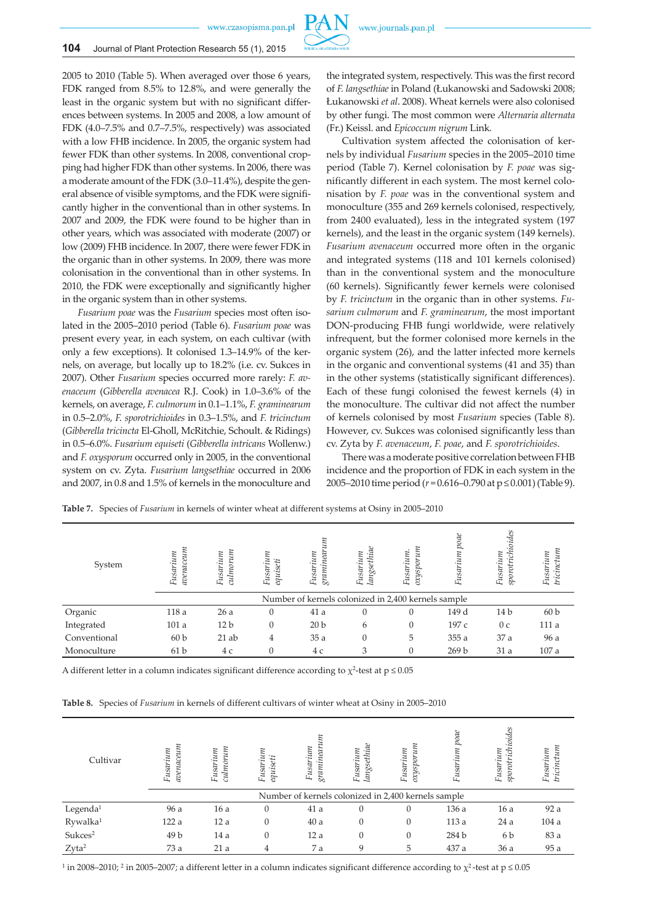

### **104** Journal of Plant Protection Research 55 (1), 2015

2005 to 2010 (Table 5). When averaged over those 6 years, FDK ranged from 8.5% to 12.8%, and were generally the least in the organic system but with no significant differences between systems. In 2005 and 2008, a low amount of FDK (4.0–7.5% and 0.7–7.5%, respectively) was associated with a low FHB incidence. In 2005, the organic system had fewer FDK than other systems. In 2008, conventional cropping had higher FDK than other systems. In 2006, there was a moderate amount of the FDK (3.0–11.4%), despite the general absence of visible symptoms, and the FDK were significantly higher in the conventional than in other systems. In 2007 and 2009, the FDK were found to be higher than in other years, which was associated with moderate (2007) or low (2009) FHB incidence. In 2007, there were fewer FDK in the organic than in other systems. In 2009, there was more colonisation in the conventional than in other systems. In 2010, the FDK were exceptionally and significantly higher in the organic system than in other systems.

*Fusarium poae* was the *Fusarium* species most often isolated in the 2005–2010 period (Table 6). *Fusarium poae* was present every year, in each system, on each cultivar (with only a few exceptions). It colonised 1.3–14.9% of the kernels, on average, but locally up to 18.2% (i.e. cv. Sukces in 2007). Other *Fusarium* species occurred more rarely: *F. avenaceum* (*Gibberella avenacea* R.J. Cook) in 1.0–3.6% of the kernels, on average, *F. culmorum* in 0.1–1.1%, *F. graminearum*  in 0.5–2.0%, *F. sporotrichioides* in 0.3–1.5%, and *F. tricinctum* (*Gibberella tricincta* El-Gholl, McRitchie, Schoult. & Ridings) in 0.5–6.0%. *Fusarium equiseti* (*Gibberella intricans* Wollenw.) and *F. oxysporum* occurred only in 2005, in the conventional system on cv. Zyta. *Fusarium langsethiae* occurred in 2006 and 2007, in 0.8 and 1.5% of kernels in the monoculture and the integrated system, respectively. This was the first record of *F. langsethiae* in Poland (Łukanowski and Sadowski 2008; Łukanowski *et al*. 2008). Wheat kernels were also colonised by other fungi. The most common were *Alternaria alternata*  (Fr.) Keissl. and *Epicoccum nigrum* Link*.*

Cultivation system affected the colonisation of kernels by individual *Fusarium* species in the 2005–2010 time period (Table 7). Kernel colonisation by *F. poae* was significantly different in each system. The most kernel colonisation by *F. poae* was in the conventional system and monoculture (355 and 269 kernels colonised, respectively, from 2400 evaluated), less in the integrated system (197 kernels), and the least in the organic system (149 kernels). *Fusarium avenaceum* occurred more often in the organic and integrated systems (118 and 101 kernels colonised) than in the conventional system and the monoculture (60 kernels). Significantly fewer kernels were colonised by *F. tricinctum* in the organic than in other systems. *Fusarium culmorum* and *F. graminearum*, the most important DON-producing FHB fungi worldwide, were relatively infrequent, but the former colonised more kernels in the organic system (26), and the latter infected more kernels in the organic and conventional systems (41 and 35) than in the other systems (statistically significant differences). Each of these fungi colonised the fewest kernels (4) in the monoculture. The cultivar did not affect the number of kernels colonised by most *Fusarium* species (Table 8). However, cv. Sukces was colonised significantly less than cv. Zyta by *F. avenaceum*, *F. poae*, and *F. sporotrichioides*.

There was a moderate positive correlation between FHB incidence and the proportion of FDK in each system in the 2005–2010 time period (*r* = 0.616–0.790 at p ≤ 0.001) (Table 9).

| System       | агепасеит<br>Fusarium | шт<br>Fusarium<br>сиіто | Fusarium<br>seti<br>equis | шп<br>Fusarium<br>graminear                         | langsethiae<br>Fusarium | шп<br>Fusarium<br>oxyspor | pace<br>Fusarium | hioides<br>Fusarium<br>æ | tricinctum<br>Fusarium |
|--------------|-----------------------|-------------------------|---------------------------|-----------------------------------------------------|-------------------------|---------------------------|------------------|--------------------------|------------------------|
|              |                       |                         |                           | Number of kernels colonized in 2,400 kernels sample |                         |                           |                  |                          |                        |
| Organic      | 118 a                 | 26a                     | $\Omega$                  | 41a                                                 | $\theta$                |                           | 149 d            | 14 <sub>b</sub>          | 60 <sub>b</sub>        |
| Integrated   | 101a                  | 12 <sub>b</sub>         |                           | 20 <sub>b</sub>                                     | 6                       | 0                         | 197 c            | 0 <sub>c</sub>           | 111 a                  |
| Conventional | 60 <sub>b</sub>       | $21$ ab                 | 4                         | 35a                                                 | $\theta$                | 5                         | 355 a            | 37 a                     | 96 a                   |
| Monoculture  | 61 <sub>b</sub>       | 4 c                     |                           | 4 c                                                 | 3                       | 0                         | 269 <sub>b</sub> | 31 a                     | 107a                   |

**Table 7.** Species of *Fusarium* in kernels of winter wheat at different systems at Osiny in 2005–2010

A different letter in a column indicates significant difference according to  $\chi^2$ -test at  $p \le 0.05$ 

| <b>Table 8.</b> Species of <i>Fusarium</i> in kernels of different cultivars of winter wheat at Osiny in 2005–2010 |  |
|--------------------------------------------------------------------------------------------------------------------|--|
|--------------------------------------------------------------------------------------------------------------------|--|

| Cultivar             | агепасеит<br>Fusarium | ш<br>Fusarium<br>$\alpha$ lmor | Fusariu<br>equiseti | Fusarium<br>$\overline{n}$<br>à,                    | langsethiae<br>Fusarium | Fusarium<br>spor<br>hxo | poae<br>ит<br>Fusar: | ichioides<br>Fusarium<br>sporotri | Fusarium<br>tricinctum |
|----------------------|-----------------------|--------------------------------|---------------------|-----------------------------------------------------|-------------------------|-------------------------|----------------------|-----------------------------------|------------------------|
|                      |                       |                                |                     | Number of kernels colonized in 2,400 kernels sample |                         |                         |                      |                                   |                        |
| Legenda <sup>1</sup> | 96 a                  | 16a                            | $\Omega$            | 41a                                                 | $\theta$                | $\Omega$                | 136 a                | 16a                               | 92 a                   |
| Rywalka <sup>1</sup> | 122 a                 | 12a                            |                     | 40a                                                 | $\mathbf{0}$            |                         | 113 a                | 24a                               | 104a                   |
| Sukces <sup>2</sup>  | 49 <sub>b</sub>       | 14 a                           | 0                   | 12a                                                 | $\mathbf{0}$            | $\Omega$                | 284 b                | 6 b                               | 83 a                   |
| Zyta <sup>2</sup>    | 73 a                  | 21a                            | 4                   | 7 a                                                 | 9                       | 5                       | 437 a                | 36 a                              | 95 a                   |

<sup>1</sup> in 2008–2010; <sup>2</sup> in 2005–2007; a different letter in a column indicates significant difference according to  $\chi^2$ -test at p  $\leq 0.05$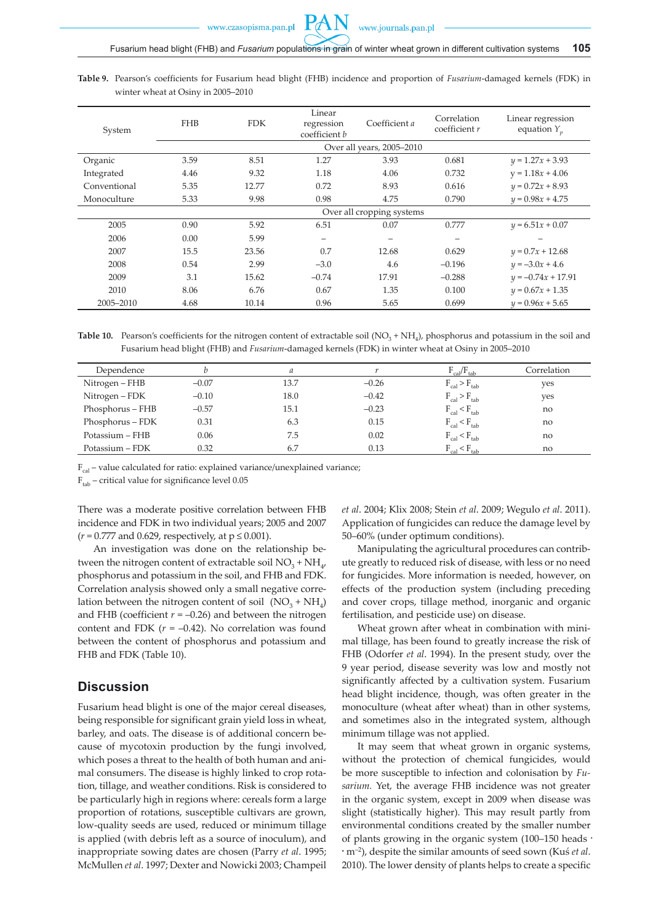**Table 9.** Pearson's coefficients for Fusarium head blight (FHB) incidence and proportion of *Fusarium*-damaged kernels (FDK) in winter wheat at Osiny in 2005–2010

| System       | <b>FHB</b> | <b>FDK</b> | Linear<br>regression<br>coefficient b | Coefficient a             | Correlation<br>coefficient $r$ | Linear regression<br>equation $Y_p$ |
|--------------|------------|------------|---------------------------------------|---------------------------|--------------------------------|-------------------------------------|
|              |            |            |                                       | Over all years, 2005-2010 |                                |                                     |
| Organic      | 3.59       | 8.51       | 1.27                                  | 3.93                      | 0.681                          | $y = 1.27x + 3.93$                  |
| Integrated   | 4.46       | 9.32       | 1.18                                  | 4.06                      | 0.732                          | $y = 1.18x + 4.06$                  |
| Conventional | 5.35       | 12.77      | 0.72                                  | 8.93                      | 0.616                          | $y = 0.72x + 8.93$                  |
| Monoculture  | 5.33       | 9.98       | 0.98                                  | 4.75                      | 0.790                          | $y = 0.98x + 4.75$                  |
|              |            |            |                                       | Over all cropping systems |                                |                                     |
| 2005         | 0.90       | 5.92       | 6.51                                  | 0.07                      | 0.777                          | $y = 6.51x + 0.07$                  |
| 2006         | 0.00       | 5.99       | -                                     |                           | -                              | $\overline{\phantom{0}}$            |
| 2007         | 15.5       | 23.56      | 0.7                                   | 12.68                     | 0.629                          | $y = 0.7x + 12.68$                  |
| 2008         | 0.54       | 2.99       | $-3.0$                                | 4.6                       | $-0.196$                       | $y = -3.0x + 4.6$                   |
| 2009         | 3.1        | 15.62      | $-0.74$                               | 17.91                     | $-0.288$                       | $y = -0.74x + 17.91$                |
| 2010         | 8.06       | 6.76       | 0.67                                  | 1.35                      | 0.100                          | $y = 0.67x + 1.35$                  |
| 2005-2010    | 4.68       | 10.14      | 0.96                                  | 5.65                      | 0.699                          | $y = 0.96x + 5.65$                  |

**Table 10.** Pearson's coefficients for the nitrogen content of extractable soil  $(NO<sub>3</sub> + NH<sub>4</sub>)$ , phosphorus and potassium in the soil and Fusarium head blight (FHB) and *Fusarium*-damaged kernels (FDK) in winter wheat at Osiny in 2005–2010

| Dependence       |         | a    |         | $F_{cal} / F_{tab}$   | Correlation |
|------------------|---------|------|---------|-----------------------|-------------|
| Nitrogen – FHB   | $-0.07$ | 13.7 | $-0.26$ | $F_{cal}$ > $F_{tab}$ | yes         |
| Nitrogen – FDK   | $-0.10$ | 18.0 | $-0.42$ | $F_{cal}$ > $F_{tab}$ | yes         |
| Phosphorus – FHB | $-0.57$ | 15.1 | $-0.23$ | $F_{cal}$ < $F_{tab}$ | no          |
| Phosphorus – FDK | 0.31    | 6.3  | 0.15    | $F_{cal}$ < $F_{tab}$ | no          |
| Potassium - FHB  | 0.06    | 7.5  | 0.02    | $F_{cal}$ < $F_{tab}$ | no          |
| Potassium – FDK  | 0.32    | 6.7  | 0.13    | $F_{cal}$ < $F_{tab}$ | no          |

 $F_{\text{cal}}$  – value calculated for ratio: explained variance/unexplained variance;

 $F<sub>tab</sub>$  – critical value for significance level 0.05

There was a moderate positive correlation between FHB incidence and FDK in two individual years; 2005 and 2007  $(r = 0.777$  and 0.629, respectively, at  $p \le 0.001$ ).

An investigation was done on the relationship between the nitrogen content of extractable soil  $NO<sub>2</sub> + NH<sub>4</sub>$ , phosphorus and potassium in the soil, and FHB and FDK. Correlation analysis showed only a small negative correlation between the nitrogen content of soil  $(NO_3 + NH_4)$ and FHB (coefficient  $r = -0.26$ ) and between the nitrogen content and FDK  $(r = -0.42)$ . No correlation was found between the content of phosphorus and potassium and FHB and FDK (Table 10).

# **Discussion**

Fusarium head blight is one of the major cereal diseases, being responsible for significant grain yield loss in wheat, barley, and oats. The disease is of additional concern because of mycotoxin production by the fungi involved, which poses a threat to the health of both human and animal consumers. The disease is highly linked to crop rotation, tillage, and weather conditions. Risk is considered to be particularly high in regions where: cereals form a large proportion of rotations, susceptible cultivars are grown, low-quality seeds are used, reduced or minimum tillage is applied (with debris left as a source of inoculum), and inappropriate sowing dates are chosen (Parry *et al*. 1995; McMullen *et al*. 1997; Dexter and Nowicki 2003; Champeil *et al*. 2004; Klix 2008; Stein *et al*. 2009; Wegulo *et al*. 2011). Application of fungicides can reduce the damage level by 50–60% (under optimum conditions).

Manipulating the agricultural procedures can contribute greatly to reduced risk of disease, with less or no need for fungicides. More information is needed, however, on effects of the production system (including preceding and cover crops, tillage method, inorganic and organic fertilisation, and pesticide use) on disease.

Wheat grown after wheat in combination with minimal tillage, has been found to greatly increase the risk of FHB (Odorfer *et al*. 1994). In the present study, over the 9 year period, disease severity was low and mostly not significantly affected by a cultivation system. Fusarium head blight incidence, though, was often greater in the monoculture (wheat after wheat) than in other systems, and sometimes also in the integrated system, although minimum tillage was not applied.

It may seem that wheat grown in organic systems, without the protection of chemical fungicides, would be more susceptible to infection and colonisation by *Fusarium.* Yet, the average FHB incidence was not greater in the organic system, except in 2009 when disease was slight (statistically higher). This may result partly from environmental conditions created by the smaller number of plants growing in the organic system (100–150 heads · · m–2), despite the similar amounts of seed sown (Kuś *et al*. 2010). The lower density of plants helps to create a specific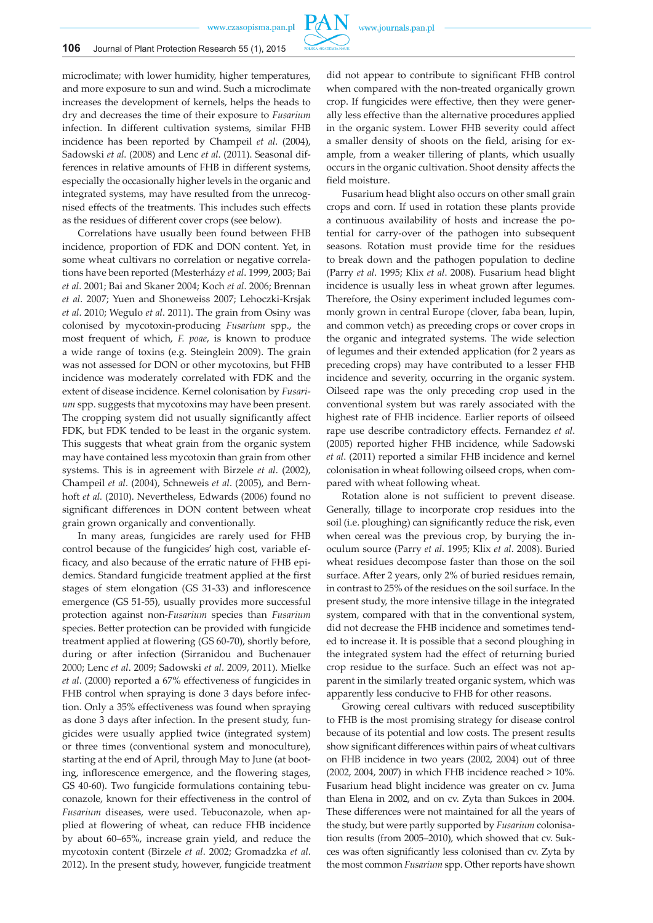

microclimate; with lower humidity, higher temperatures, and more exposure to sun and wind. Such a microclimate increases the development of kernels, helps the heads to dry and decreases the time of their exposure to *Fusarium*  infection. In different cultivation systems, similar FHB incidence has been reported by Champeil *et al*. (2004), Sadowski *et al*. (2008) and Lenc *et al*. (2011). Seasonal differences in relative amounts of FHB in different systems, especially the occasionally higher levels in the organic and integrated systems, may have resulted from the unrecognised effects of the treatments. This includes such effects as the residues of different cover crops (see below).

Correlations have usually been found between FHB incidence, proportion of FDK and DON content. Yet, in some wheat cultivars no correlation or negative correlations have been reported (Mesterházy *et al*. 1999, 2003; Bai *et al*. 2001; Bai and Skaner 2004; Koch *et al*. 2006; Brennan *et al*. 2007; Yuen and Shoneweiss 2007; Lehoczki-Krsjak *et al*. 2010; Wegulo *et al*. 2011). The grain from Osiny was colonised by mycotoxin-producing *Fusarium* spp., the most frequent of which, *F. poae*, is known to produce a wide range of toxins (e.g. Steinglein 2009). The grain was not assessed for DON or other mycotoxins, but FHB incidence was moderately correlated with FDK and the extent of disease incidence. Kernel colonisation by *Fusarium* spp. suggests that mycotoxins may have been present. The cropping system did not usually significantly affect FDK, but FDK tended to be least in the organic system. This suggests that wheat grain from the organic system may have contained less mycotoxin than grain from other systems. This is in agreement with Birzele *et al*. (2002), Champeil *et al*. (2004), Schneweis *et al*. (2005), and Bernhoft *et al.* (2010). Nevertheless, Edwards (2006) found no significant differences in DON content between wheat grain grown organically and conventionally.

In many areas, fungicides are rarely used for FHB control because of the fungicides' high cost, variable efficacy, and also because of the erratic nature of FHB epidemics. Standard fungicide treatment applied at the first stages of stem elongation (GS 31-33) and inflorescence emergence (GS 51-55), usually provides more successful protection against non-*Fusarium* species than *Fusarium* species. Better protection can be provided with fungicide treatment applied at flowering (GS 60-70), shortly before, during or after infection (Sirranidou and Buchenauer 2000; Lenc *et al*. 2009; Sadowski *et al*. 2009, 2011). Mielke *et al*. (2000) reported a 67% effectiveness of fungicides in FHB control when spraying is done 3 days before infection. Only a 35% effectiveness was found when spraying as done 3 days after infection. In the present study, fungicides were usually applied twice (integrated system) or three times (conventional system and monoculture), starting at the end of April, through May to June (at booting, inflorescence emergence, and the flowering stages, GS 40-60). Two fungicide formulations containing tebuconazole, known for their effectiveness in the control of *Fusarium* diseases, were used. Tebuconazole, when applied at flowering of wheat, can reduce FHB incidence by about 60–65%, increase grain yield, and reduce the mycotoxin content (Birzele *et al*. 2002; Gromadzka *et al*. 2012). In the present study, however, fungicide treatment did not appear to contribute to significant FHB control when compared with the non-treated organically grown crop. If fungicides were effective, then they were generally less effective than the alternative procedures applied in the organic system. Lower FHB severity could affect a smaller density of shoots on the field, arising for example, from a weaker tillering of plants, which usually occurs in the organic cultivation. Shoot density affects the field moisture.

Fusarium head blight also occurs on other small grain crops and corn. If used in rotation these plants provide a continuous availability of hosts and increase the potential for carry-over of the pathogen into subsequent seasons. Rotation must provide time for the residues to break down and the pathogen population to decline (Parry *et al*. 1995; Klix *et al*. 2008). Fusarium head blight incidence is usually less in wheat grown after legumes. Therefore, the Osiny experiment included legumes commonly grown in central Europe (clover, faba bean, lupin, and common vetch) as preceding crops or cover crops in the organic and integrated systems. The wide selection of legumes and their extended application (for 2 years as preceding crops) may have contributed to a lesser FHB incidence and severity, occurring in the organic system. Oilseed rape was the only preceding crop used in the conventional system but was rarely associated with the highest rate of FHB incidence. Earlier reports of oilseed rape use describe contradictory effects. Fernandez *et al*. (2005) reported higher FHB incidence, while Sadowski *et al*. (2011) reported a similar FHB incidence and kernel colonisation in wheat following oilseed crops, when compared with wheat following wheat.

Rotation alone is not sufficient to prevent disease. Generally, tillage to incorporate crop residues into the soil (i.e. ploughing) can significantly reduce the risk, even when cereal was the previous crop, by burying the inoculum source (Parry *et al*. 1995; Klix *et al*. 2008). Buried wheat residues decompose faster than those on the soil surface. After 2 years, only 2% of buried residues remain, in contrast to 25% of the residues on the soil surface. In the present study, the more intensive tillage in the integrated system, compared with that in the conventional system, did not decrease the FHB incidence and sometimes tended to increase it. It is possible that a second ploughing in the integrated system had the effect of returning buried crop residue to the surface. Such an effect was not apparent in the similarly treated organic system, which was apparently less conducive to FHB for other reasons.

Growing cereal cultivars with reduced susceptibility to FHB is the most promising strategy for disease control because of its potential and low costs. The present results show significant differences within pairs of wheat cultivars on FHB incidence in two years (2002, 2004) out of three (2002, 2004, 2007) in which FHB incidence reached > 10%. Fusarium head blight incidence was greater on cv. Juma than Elena in 2002, and on cv. Zyta than Sukces in 2004. These differences were not maintained for all the years of the study, but were partly supported by *Fusarium* colonisation results (from 2005–2010), which showed that cv. Sukces was often significantly less colonised than cv. Zyta by the most common *Fusarium* spp. Other reports have shown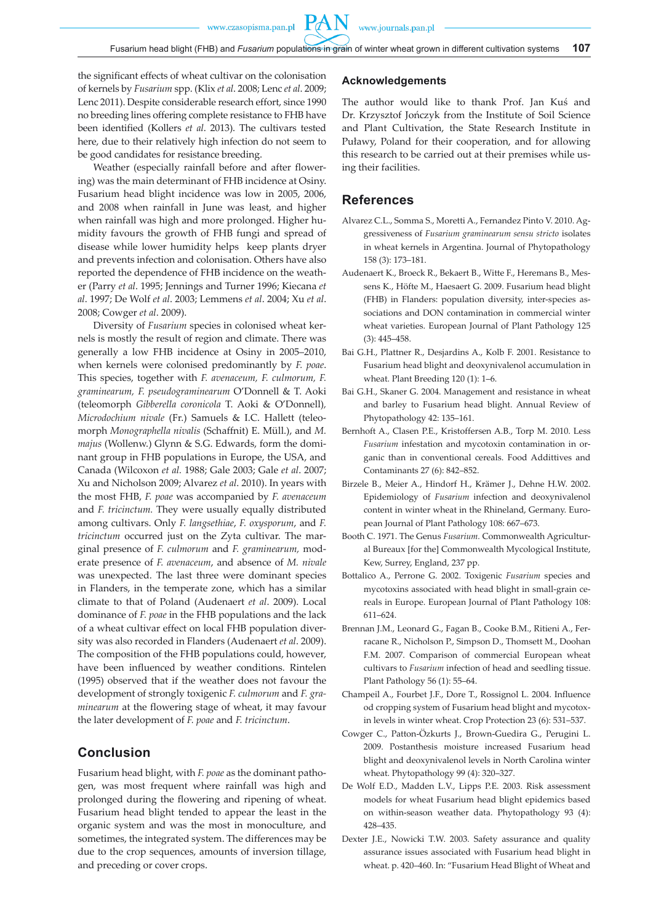**PAN** 

the significant effects of wheat cultivar on the colonisation of kernels by *Fusarium* spp. (Klix *et al*. 2008; Lenc *et al*. 2009; Lenc 2011). Despite considerable research effort, since 1990 no breeding lines offering complete resistance to FHB have been identified (Kollers *et al*. 2013). The cultivars tested here, due to their relatively high infection do not seem to be good candidates for resistance breeding.

Weather (especially rainfall before and after flowering) was the main determinant of FHB incidence at Osiny. Fusarium head blight incidence was low in 2005, 2006, and 2008 when rainfall in June was least, and higher when rainfall was high and more prolonged. Higher humidity favours the growth of FHB fungi and spread of disease while lower humidity helps keep plants dryer and prevents infection and colonisation. Others have also reported the dependence of FHB incidence on the weather (Parry *et al*. 1995; Jennings and Turner 1996; Kiecana *et al*. 1997; De Wolf *et al*. 2003; Lemmens *et al*. 2004; Xu *et al*. 2008; Cowger *et al*. 2009).

Diversity of *Fusarium* species in colonised wheat kernels is mostly the result of region and climate. There was generally a low FHB incidence at Osiny in 2005–2010, when kernels were colonised predominantly by *F. poae*. This species, together with *F. avenaceum, F. culmorum, F. graminearum, F. pseudograminearum* O'Donnell & T. Aoki (teleomorph *Gibberella coronicola* T. Aoki & O'Donnell)*, Microdochium nivale* (Fr.) Samuels & I.C. Hallett (teleomorph *Monographella nivalis* (Schaffnit) E. Müll.), and *M. majus* (Wollenw.) Glynn & S.G. Edwards, form the dominant group in FHB populations in Europe, the USA, and Canada (Wilcoxon *et al.* 1988; Gale 2003; Gale *et al*. 2007; Xu and Nicholson 2009; Alvarez *et al*. 2010). In years with the most FHB, *F. poae* was accompanied by *F. avenaceum*  and *F. tricinctum.* They were usually equally distributed among cultivars. Only *F. langsethiae*, *F. oxysporum*, and *F. tricinctum* occurred just on the Zyta cultivar. The marginal presence of *F. culmorum* and *F. graminearum,* moderate presence of *F. avenaceum*, and absence of *M. nivale*  was unexpected. The last three were dominant species in Flanders, in the temperate zone, which has a similar climate to that of Poland (Audenaert *et al*. 2009). Local dominance of *F. poae* in the FHB populations and the lack of a wheat cultivar effect on local FHB population diversity was also recorded in Flanders (Audenaert *et al*. 2009). The composition of the FHB populations could, however, have been influenced by weather conditions. Rintelen (1995) observed that if the weather does not favour the development of strongly toxigenic *F. culmorum* and *F. graminearum* at the flowering stage of wheat, it may favour the later development of *F. poae* and *F. tricinctum*.

# **Conclusion**

Fusarium head blight, with *F. poae* as the dominant pathogen, was most frequent where rainfall was high and prolonged during the flowering and ripening of wheat. Fusarium head blight tended to appear the least in the organic system and was the most in monoculture, and sometimes, the integrated system. The differences may be due to the crop sequences, amounts of inversion tillage, and preceding or cover crops.

## **Acknowledgements**

The author would like to thank Prof. Jan Kuś and Dr. Krzysztof Jończyk from the Institute of Soil Science and Plant Cultivation, the State Research Institute in Puławy, Poland for their cooperation, and for allowing this research to be carried out at their premises while using their facilities.

# **References**

- Alvarez C.L., Somma S., Moretti A., Fernandez Pinto V. 2010. Aggressiveness of *Fusarium graminearum sensu stricto* isolates in wheat kernels in Argentina. Journal of Phytopathology 158 (3): 173–181.
- Audenaert K., Broeck R., Bekaert B., Witte F., Heremans B., Messens K., Höfte M., Haesaert G. 2009. Fusarium head blight (FHB) in Flanders: population diversity, inter-species associations and DON contamination in commercial winter wheat varieties. European Journal of Plant Pathology 125 (3): 445–458.
- Bai G.H., Plattner R., Desjardins A., Kolb F. 2001. Resistance to Fusarium head blight and deoxynivalenol accumulation in wheat. Plant Breeding 120 (1): 1–6.
- Bai G.H., Skaner G. 2004. Management and resistance in wheat and barley to Fusarium head blight. Annual Review of Phytopathology 42: 135–161.
- Bernhoft A., Clasen P.E., Kristoffersen A.B., Torp M. 2010. Less *Fusarium* infestation and mycotoxin contamination in organic than in conventional cereals. Food Addittives and Contaminants 27 (6): 842–852.
- Birzele B., Meier A., Hindorf H., Krämer J., Dehne H.W. 2002. Epidemiology of *Fusarium* infection and deoxynivalenol content in winter wheat in the Rhineland, Germany. European Journal of Plant Pathology 108: 667–673.
- Booth C. 1971. The Genus *Fusarium.* Commonwealth Agricultural Bureaux [for the] Commonwealth Mycological Institute, Kew, Surrey, England, 237 pp.
- Bottalico A., Perrone G. 2002. Toxigenic *Fusarium* species and mycotoxins associated with head blight in small-grain cereals in Europe. European Journal of Plant Pathology 108: 611–624.
- Brennan J.M., Leonard G., Fagan B., Cooke B.M., Ritieni A., Ferracane R., Nicholson P., Simpson D., Thomsett M., Doohan F.M. 2007. Comparison of commercial European wheat cultivars to *Fusarium* infection of head and seedling tissue. Plant Pathology 56 (1): 55–64.
- Champeil A., Fourbet J.F., Dore T., Rossignol L. 2004. Influence od cropping system of Fusarium head blight and mycotoxin levels in winter wheat. Crop Protection 23 (6): 531–537.
- Cowger C., Patton-Özkurts J., Brown-Guedira G., Perugini L. 2009. Postanthesis moisture increased Fusarium head blight and deoxynivalenol levels in North Carolina winter wheat. Phytopathology 99 (4): 320–327.
- De Wolf E.D., Madden L.V., Lipps P.E. 2003. Risk assessment models for wheat Fusarium head blight epidemics based on within-season weather data. Phytopathology 93 (4): 428–435.
- Dexter J.E., Nowicki T.W. 2003. Safety assurance and quality assurance issues associated with Fusarium head blight in wheat. p. 420–460. In: "Fusarium Head Blight of Wheat and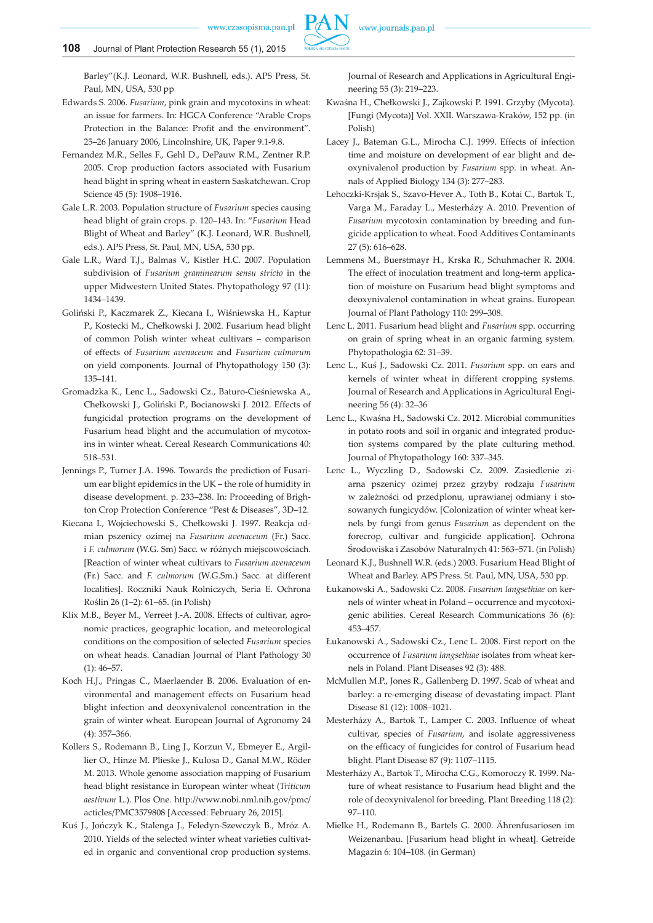Barley"(K.J. Leonard, W.R. Bushnell, eds.). APS Press, St. Paul, MN, USA, 530 pp

- Edwards S. 2006. *Fusarium*, pink grain and mycotoxins in wheat: an issue for farmers. In: HGCA Conference "Arable Crops Protection in the Balance: Profit and the environment". 25–26 January 2006, Lincolnshire, UK, Paper 9.1-9.8.
- Fernandez M.R., Selles F., Gehl D., DePauw R.M., Zentner R.P. 2005. Crop production factors associated with Fusarium head blight in spring wheat in eastern Saskatchewan. Crop Science 45 (5): 1908–1916.
- Gale L.R. 2003. Population structure of *Fusarium* species causing head blight of grain crops. p. 120–143. In: "*Fusarium* Head Blight of Wheat and Barley" (K.J. Leonard, W.R. Bushnell, eds.). APS Press, St. Paul, MN, USA, 530 pp.
- Gale L.R., Ward T.J., Balmas V., Kistler H.C. 2007. Population subdivision of *Fusarium graminearum sensu stricto* in the upper Midwestern United States. Phytopathology 97 (11): 1434–1439.
- Goliński P., Kaczmarek Z., Kiecana I., Wiśniewska H., Kaptur P., Kostecki M., Chełkowski J. 2002. Fusarium head blight of common Polish winter wheat cultivars – comparison of effects of *Fusarium avenaceum* and *Fusarium culmorum* on yield components. Journal of Phytopathology 150 (3): 135–141.
- Gromadzka K., Lenc L., Sadowski Cz., Baturo-Cieśniewska A., Chełkowski J., Goliński P., Bocianowski J. 2012. Effects of fungicidal protection programs on the development of Fusarium head blight and the accumulation of mycotoxins in winter wheat. Cereal Research Communications 40: 518–531.
- Jennings P., Turner J.A. 1996. Towards the prediction of Fusarium ear blight epidemics in the UK – the role of humidity in disease development. p. 233–238. In: Proceeding of Brighton Crop Protection Conference "Pest & Diseases", 3D–12.
- Kiecana I., Wojciechowski S., Chełkowski J. 1997. Reakcja odmian pszenicy ozimej na *Fusarium avenaceum* (Fr.) Sacc. i *F. culmorum* (W.G. Sm) Sacc. w różnych miejscowościach. [Reaction of winter wheat cultivars to *Fusarium avenaceum* (Fr.) Sacc. and *F. culmorum* (W.G.Sm.) Sacc. at different localities]. Roczniki Nauk Rolniczych, Seria E. Ochrona Roślin 26 (1–2): 61–65. (in Polish)
- Klix M.B., Beyer M., Verreet J.-A. 2008. Effects of cultivar, agronomic practices, geographic location, and meteorological conditions on the composition of selected *Fusarium* species on wheat heads. Canadian Journal of Plant Pathology 30  $(1): 46 - 57.$
- Koch H.J., Pringas C., Maerlaender B. 2006. Evaluation of environmental and management effects on Fusarium head blight infection and deoxynivalenol concentration in the grain of winter wheat. European Journal of Agronomy 24 (4): 357–366.
- Kollers S., Rodemann B., Ling J., Korzun V., Ebmeyer E., Argillier O., Hinze M. Plieske J., Kulosa D., Ganal M.W., Röder M. 2013. Whole genome association mapping of Fusarium head blight resistance in European winter wheat (*Triticum aestivum* L.). Plos One. http://www.nobi.nml.nih.gov/pmc/ acticles/PMC3579808 [Accessed: February 26, 2015].
- Kuś J., Jończyk K., Stalenga J., Feledyn-Szewczyk B., Mróz A. 2010. Yields of the selected winter wheat varieties cultivated in organic and conventional crop production systems.

Journal of Research and Applications in Agricultural Engineering 55 (3): 219–223.

- Kwaśna H., Chełkowski J., Zajkowski P. 1991. Grzyby (Mycota). [Fungi (Mycota)] Vol. XXII. Warszawa-Kraków, 152 pp. (in Polish)
- Lacey J., Bateman G.L., Mirocha C.J. 1999. Effects of infection time and moisture on development of ear blight and deoxynivalenol production by *Fusarium* spp. in wheat. Annals of Applied Biology 134 (3): 277–283.
- Lehoczki-Krsjak S., Szavo-Hever A., Toth B., Kotai C., Bartok T., Varga M., Faraday L., Mesterházy A. 2010. Prevention of *Fusarium* mycotoxin contamination by breeding and fungicide application to wheat. Food Additives Contaminants 27 (5): 616–628.
- Lemmens M., Buerstmayr H., Krska R., Schuhmacher R. 2004. The effect of inoculation treatment and long-term application of moisture on Fusarium head blight symptoms and deoxynivalenol contamination in wheat grains. European Journal of Plant Pathology 110: 299–308.
- Lenc L. 2011. Fusarium head blight and *Fusarium* spp. occurring on grain of spring wheat in an organic farming system. Phytopathologia 62: 31–39.
- Lenc L., Kuś J., Sadowski Cz. 2011. *Fusarium* spp. on ears and kernels of winter wheat in different cropping systems. Journal of Research and Applications in Agricultural Engineering 56 (4): 32–36
- Lenc L., Kwaśna H., Sadowski Cz. 2012. Microbial communities in potato roots and soil in organic and integrated production systems compared by the plate culturing method. Journal of Phytopathology 160: 337–345.
- Lenc L., Wyczling D., Sadowski Cz. 2009. Zasiedlenie ziarna pszenicy ozimej przez grzyby rodzaju *Fusarium* w zależności od przedplonu, uprawianej odmiany i stosowanych fungicydów. [Colonization of winter wheat kernels by fungi from genus *Fusarium* as dependent on the forecrop, cultivar and fungicide application]. Ochrona Środowiska i Zasobów Naturalnych 41: 563–571. (in Polish)
- Leonard K.J., Bushnell W.R. (eds.) 2003. Fusarium Head Blight of Wheat and Barley. APS Press. St. Paul, MN, USA, 530 pp.
- Łukanowski A., Sadowski Cz. 2008. *Fusarium langsethiae* on kernels of winter wheat in Poland – occurrence and mycotoxigenic abilities. Cereal Research Communications 36 (6): 453–457.
- Łukanowski A., Sadowski Cz., Lenc L. 2008. First report on the occurrence of *Fusarium langsethiae* isolates from wheat kernels in Poland. Plant Diseases 92 (3): 488.
- McMullen M.P., Jones R., Gallenberg D. 1997. Scab of wheat and barley: a re-emerging disease of devastating impact. Plant Disease 81 (12): 1008–1021.
- Mesterházy A., Bartok T., Lamper C. 2003. Influence of wheat cultivar, species of *Fusarium*, and isolate aggressiveness on the efficacy of fungicides for control of Fusarium head blight. Plant Disease 87 (9): 1107–1115.
- Mesterházy A., Bartok T., Mirocha C.G., Komoroczy R. 1999. Nature of wheat resistance to Fusarium head blight and the role of deoxynivalenol for breeding. Plant Breeding 118 (2): 97–110.
- Mielke H., Rodemann B., Bartels G. 2000. Ährenfusariosen im Weizenanbau. [Fusarium head blight in wheat]. Getreide Magazin 6: 104–108. (in German)

**PAN**